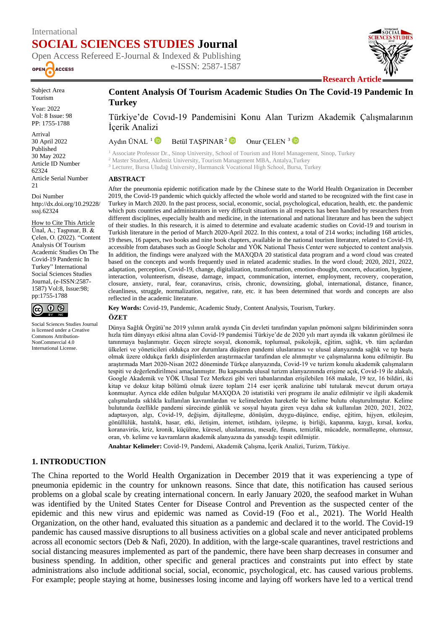# International **SOCIAL SCIENCES STUDIES Journal**





Subject Area Tourism

Year: 2022 Vol: 8 Issue: 98 PP: 1755-1788

Arrival 30 April 2022 Published 30 May 2022 Article ID Number 62324 Article Serial Number 21

Doi Number http://dx.doi.org/10.29228/ sssj.62324

How to Cite This Article Ünal, A.; Taşpınar, B. & Çelen, O. (2022). "Content Analysis Of Tourism Academic Studies On The Covid-19 Pandemic In Turkey" International Social Sciences Studies Journal, (e-ISSN:2587- 1587) Vol:8, Issue:98; pp:1755-1788



Social Sciences Studies Journal is licensed under a Creative Commons Attribution-NonCommercial 4.0 International License.

## **Content Analysis Of Tourism Academic Studies On The Covid-19 Pandemic In Turkey**

Türkiye'de Covıd-19 Pandemisini Konu Alan Turizm Akademik Çalışmalarının İçerik Analizi

Aydın ÜNAL  $1$ Betül TASPINAR<sup>2</sup><sup>D</sup> Onur CELEN<sup>3</sup>

<sup>1</sup> Associate Professor Dr., Sinop University, School of Tourism and Hotel Management, Sinop, Turkey <sup>2</sup> Master Student, Akdeniz University, Tourism Management MBA, Antalya,Turkey <sup>3</sup> Lecturer, Bursa Uludağ University, Harmancık Vocational High School, Bursa, Turkey

#### **ABSTRACT**

After the pneumonia epidemic notification made by the Chinese state to the World Health Organization in December 2019, the Covid-19 pandemic which quickly affected the whole world and started to be recognized with the first case in Turkey in March 2020. In the past process, social, economic, social, psychological, education, health, etc. the pandemic which puts countries and administrators in very difficult situations in all respects has been handled by researchers from different disciplines, especially health and medicine, in the international and national literature and has been the subject of their studies. In this research, it is aimed to determine and evaluate academic studies on Covid-19 and tourism in Turkish literature in the period of March 2020-April 2022. In this context, a total of 214 works; including 168 articles, 19 theses, 16 papers, two books and nine book chapters, available in the national tourism literature, related to Covid-19, accessible from databases such as Google Scholar and YÖK National Thesis Center were subjected to content analysis. In addition, the findings were analyzed with the MAXQDA 20 statistical data program and a word cloud was created based on the concepts and words frequently used in related academic studies. In the word cloud; 2020, 2021, 2022, adaptation, perception, Covid-19, change, digitalization, transformation, emotion-thought, concern, education, hygiene, interaction, volunteerism, disease, damage, impact, communication, internet, employment, recovery, cooperation, closure, anxiety, rural, fear, coranavirus, crisis, chronic, downsizing, global, international, distance, finance, cleanliness, struggle, normalization, negative, rate, etc. it has been determined that words and concepts are also reflected in the academic literature.

**Key Words:** Covid-19, Pandemic, Academic Study, Content Analysis, Tourism, Turkey.

#### **ÖZET**

Dünya Sağlık Örgütü'ne 2019 yılının aralık ayında Çin devleti tarafından yapılan pnömoni salgını bildiriminden sonra hızla tüm dünyayı etkisi altına alan Covid-19 pandemisi Türkiye'de de 2020 yılı mart ayında ilk vakanın görülmesi ile tanınmaya başlanmıştır. Geçen süreçte sosyal, ekonomik, toplumsal, psikolojik, eğitim, sağlık, vb. tüm açılardan ülkeleri ve yöneticileri oldukça zor durumlara düşüren pandemi uluslararası ve ulusal alanyazında sağlık ve tıp başta olmak üzere oldukça farklı disiplinlerden araştırmacılar tarafından ele alınmıştır ve çalışmalarına konu edilmiştir. Bu araştırmada Mart 2020-Nisan 2022 döneminde Türkçe alanyazında, Covid-19 ve turizm konulu akademik çalışmaların tespiti ve değerlendirilmesi amaçlanmıştır. Bu kapsamda ulusal turizm alanyazınında erişime açık, Covid-19 ile alakalı, Google Akademik ve YÖK Ulusal Tez Merkezi gibi veri tabanlarından erişilebilen 168 makale, 19 tez, 16 bildiri, iki kitap ve dokuz kitap bölümü olmak üzere toplam 214 eser içerik analizine tabî tutularak mevcut durum ortaya konmuştur. Ayrıca elde edilen bulgular MAXQDA 20 istatistiki veri programı ile analiz edilmiştir ve ilgili akademik çalışmalarda sıklıkla kullanılan kavramlardan ve kelimelerden hareketle bir kelime bulutu oluşturulmuştur. Kelime bulutunda özellikle pandemi sürecinde günlük ve sosyal hayata giren veya daha sık kullanılan 2020, 2021, 2022, adaptasyon, algı, Covid-19, değişim, dijitalleşme, dönüşüm, duygu-düşünce, endişe, eğitim, hijyen, etkileşim, gönüllülük, hastalık, hasar, etki, iletişim, internet, istihdam, iyileşme, iş birliği, kapanma, kaygı, kırsal, korku, koranavirüs, kriz, kronik, küçülme, küresel, uluslararası, mesafe, finans, temizlik, mücadele, normalleşme, olumsuz, oran, vb. kelime ve kavramların akademik alanyazına da yansıdığı tespit edilmiştir.

**Anahtar Kelimeler:** Covid-19, Pandemi, Akademik Çalışma, İçerik Analizi, Turizm, Türkiye.

## **1. INTRODUCTION**

The China reported to the World Health Organization in December 2019 that it was experiencing a type of pneumonia epidemic in the country for unknown reasons. Since that date, this notification has caused serious problems on a global scale by creating international concern. In early January 2020, the seafood market in Wuhan was identified by the United States Center for Disease Control and Prevention as the suspected center of the epidemic and this new virus and epidemic was named as Covid-19 (Foo et al., 2021). The World Health Organization, on the other hand, evaluated this situation as a pandemic and declared it to the world. The Covid-19 pandemic has caused massive disruptions to all business activities on a global scale and never anticipated problems across all economic sectors (Deb & Nafi, 2020). In addition, with the large-scale quarantines, travel restrictions and social distancing measures implemented as part of the pandemic, there have been sharp decreases in consumer and business spending. In addition, other specific and general practices and constraints put into effect by state administrations also include additional social, social, economic, psychological, etc. has caused various problems. For example; people staying at home, businesses losing income and laying off workers have led to a vertical trend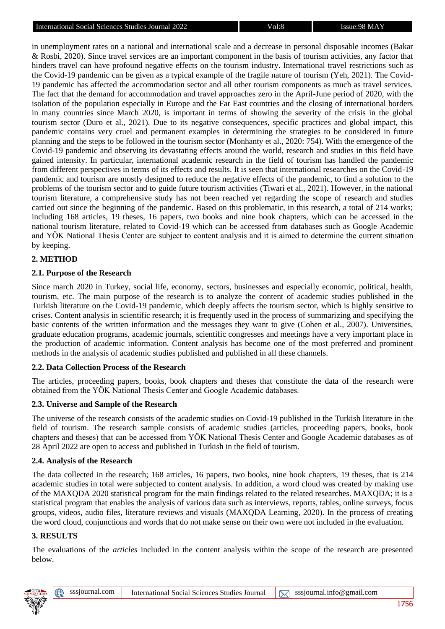in unemployment rates on a national and international scale and a decrease in personal disposable incomes (Bakar & Rosbi, 2020). Since travel services are an important component in the basis of tourism activities, any factor that hinders travel can have profound negative effects on the tourism industry. International travel restrictions such as the Covid-19 pandemic can be given as a typical example of the fragile nature of tourism (Yeh, 2021). The Covid-19 pandemic has affected the accommodation sector and all other tourism components as much as travel services. The fact that the demand for accommodation and travel approaches zero in the April-June period of 2020, with the isolation of the population especially in Europe and the Far East countries and the closing of international borders in many countries since March 2020, is important in terms of showing the severity of the crisis in the global tourism sector (Duro et al., 2021). Due to its negative consequences, specific practices and global impact, this pandemic contains very cruel and permanent examples in determining the strategies to be considered in future planning and the steps to be followed in the tourism sector (Monhanty et al., 2020: 754). With the emergence of the Covid-19 pandemic and observing its devastating effects around the world, research and studies in this field have gained intensity. In particular, international academic research in the field of tourism has handled the pandemic from different perspectives in terms of its effects and results. It is seen that international researches on the Covid-19 pandemic and tourism are mostly designed to reduce the negative effects of the pandemic, to find a solution to the problems of the tourism sector and to guide future tourism activities (Tiwari et al., 2021). However, in the national tourism literature, a comprehensive study has not been reached yet regarding the scope of research and studies carried out since the beginning of the pandemic. Based on this problematic, in this research, a total of 214 works; including 168 articles, 19 theses, 16 papers, two books and nine book chapters, which can be accessed in the national tourism literature, related to Covid-19 which can be accessed from databases such as Google Academic and YÖK National Thesis Center are subject to content analysis and it is aimed to determine the current situation by keeping.

## **2. METHOD**

## **2.1. Purpose of the Research**

Since march 2020 in Turkey, social life, economy, sectors, businesses and especially economic, political, health, tourism, etc. The main purpose of the research is to analyze the content of academic studies published in the Turkish literature on the Covid-19 pandemic, which deeply affects the tourism sector, which is highly sensitive to crises. Content analysis in scientific research; it is frequently used in the process of summarizing and specifying the basic contents of the written information and the messages they want to give (Cohen et al., 2007). Universities, graduate education programs, academic journals, scientific congresses and meetings have a very important place in the production of academic information. Content analysis has become one of the most preferred and prominent methods in the analysis of academic studies published and published in all these channels.

## **2.2. Data Collection Process of the Research**

The articles, proceeding papers, books, book chapters and theses that constitute the data of the research were obtained from the YÖK National Thesis Center and Google Academic databases.

## **2.3. Universe and Sample of the Research**

The universe of the research consists of the academic studies on Covid-19 published in the Turkish literature in the field of tourism. The research sample consists of academic studies (articles, proceeding papers, books, book chapters and theses) that can be accessed from YÖK National Thesis Center and Google Academic databases as of 28 April 2022 are open to access and published in Turkish in the field of tourism.

## **2.4. Analysis of the Research**

The data collected in the research; 168 articles, 16 papers, two books, nine book chapters, 19 theses, that is 214 academic studies in total were subjected to content analysis. In addition, a word cloud was created by making use of the MAXQDA 2020 statistical program for the main findings related to the related researches. MAXQDA; it is a statistical program that enables the analysis of various data such as interviews, reports, tables, online surveys, focus groups, videos, audio files, literature reviews and visuals (MAXQDA Learning, 2020). In the process of creating the word cloud, conjunctions and words that do not make sense on their own were not included in the evaluation.

## **3. RESULTS**

The evaluations of the *articles* included in the content analysis within the scope of the research are presented below.

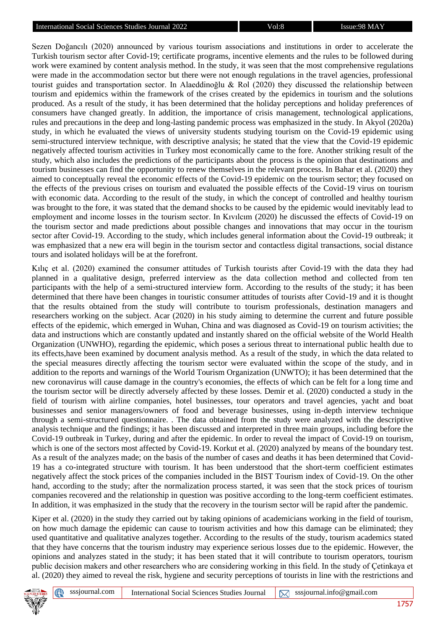Sezen Doğancılı (2020) announced by various tourism associations and institutions in order to accelerate the Turkish tourism sector after Covid-19; certificate programs, incentive elements and the rules to be followed during work were examined by content analysis method. In the study, it was seen that the most comprehensive regulations were made in the accommodation sector but there were not enough regulations in the travel agencies, professional tourist guides and transportation sector. In Alaeddinoğlu & Rol (2020) they discussed the relationship between tourism and epidemics within the framework of the crises created by the epidemics in tourism and the solutions produced. As a result of the study, it has been determined that the holiday perceptions and holiday preferences of consumers have changed greatly. In addition, the importance of crisis management, technological applications, rules and precautions in the deep and long-lasting pandemic process was emphasized in the study. In Akyol (2020a) study, in which he evaluated the views of university students studying tourism on the Covid-19 epidemic using semi-structured interview technique, with descriptive analysis; he stated that the view that the Covid-19 epidemic negatively affected tourism activities in Turkey most economically came to the fore. Another striking result of the study, which also includes the predictions of the participants about the process is the opinion that destinations and tourism businesses can find the opportunity to renew themselves in the relevant process. In Bahar et al. (2020) they aimed to conceptually reveal the economic effects of the Covid-19 epidemic on the tourism sector; they focused on the effects of the previous crises on tourism and evaluated the possible effects of the Covid-19 virus on tourism with economic data. According to the result of the study, in which the concept of controlled and healthy tourism was brought to the fore, it was stated that the demand shocks to be caused by the epidemic would inevitably lead to employment and income losses in the tourism sector. In Kıvılcım (2020) he discussed the effects of Covid-19 on the tourism sector and made predictions about possible changes and innovations that may occur in the tourism sector after Covid-19. According to the study, which includes general information about the Covid-19 outbreak; it was emphasized that a new era will begin in the tourism sector and contactless digital transactions, social distance tours and isolated holidays will be at the forefront.

Kılıç et al. (2020) examined the consumer attitudes of Turkish tourists after Covid-19 with the data they had planned in a qualitative design, preferred interview as the data collection method and collected from ten participants with the help of a semi-structured interview form. According to the results of the study; it has been determined that there have been changes in touristic consumer attitudes of tourists after Covid-19 and it is thought that the results obtained from the study will contribute to tourism professionals, destination managers and researchers working on the subject. Acar (2020) in his study aiming to determine the current and future possible effects of the epidemic, which emerged in Wuhan, China and was diagnosed as Covid-19 on tourism activities; the data and instructions which are constantly updated and instantly shared on the official website of the World Health Organization (UNWHO), regarding the epidemic, which poses a serious threat to international public health due to its effects,have been examined by document analysis method. As a result of the study, in which the data related to the special measures directly affecting the tourism sector were evaluated within the scope of the study, and in addition to the reports and warnings of the World Tourism Organization (UNWTO); it has been determined that the new coronavirus will cause damage in the country's economies, the effects of which can be felt for a long time and the tourism sector will be directly adversely affected by these losses. Demir et al. (2020) conducted a study in the field of tourism with airline companies, hotel businesses, tour operators and travel agencies, yacht and boat businesses and senior managers/owners of food and beverage businesses, using in-depth interview technique through a semi-structured questionnaire. . The data obtained from the study were analyzed with the descriptive analysis technique and the findings; it has been discussed and interpreted in three main groups, including before the Covid-19 outbreak in Turkey, during and after the epidemic. In order to reveal the impact of Covid-19 on tourism, which is one of the sectors most affected by Covid-19. Korkut et al. (2020) analyzed by means of the boundary test. As a result of the analyzes made; on the basis of the number of cases and deaths it has been determined that Covid-19 has a co-integrated structure with tourism. It has been understood that the short-term coefficient estimates negatively affect the stock prices of the companies included in the BIST Tourism index of Covid-19. On the other hand, according to the study; after the normalization process started, it was seen that the stock prices of tourism companies recovered and the relationship in question was positive according to the long-term coefficient estimates. In addition, it was emphasized in the study that the recovery in the tourism sector will be rapid after the pandemic.

Kiper et al. (2020) in the study they carried out by taking opinions of academicians working in the field of tourism, on how much damage the epidemic can cause to tourism activities and how this damage can be eliminated; they used quantitative and qualitative analyzes together. According to the results of the study, tourism academics stated that they have concerns that the tourism industry may experience serious losses due to the epidemic. However, the opinions and analyzes stated in the study; it has been stated that it will contribute to tourism operators, tourism public decision makers and other researchers who are considering working in this field. In the study of Çetinkaya et al. (2020) they aimed to reveal the risk, hygiene and security perceptions of tourists in line with the restrictions and

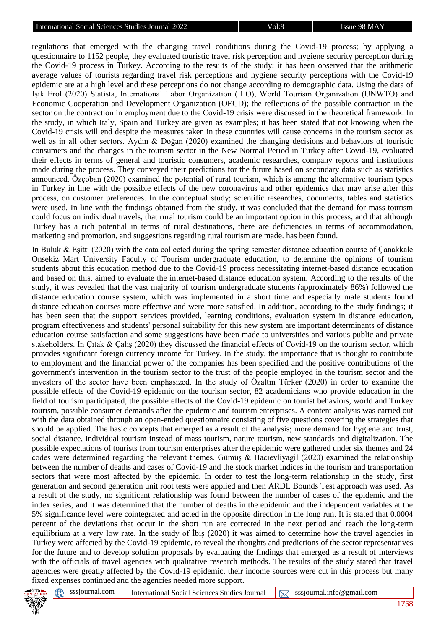regulations that emerged with the changing travel conditions during the Covid-19 process; by applying a questionnaire to 1152 people, they evaluated touristic travel risk perception and hygiene security perception during the Covid-19 process in Turkey. According to the results of the study; it has been observed that the arithmetic average values of tourists regarding travel risk perceptions and hygiene security perceptions with the Covid-19 epidemic are at a high level and these perceptions do not change according to demographic data. Using the data of Işık Erol (2020) Statista, International Labor Organization (ILO), World Tourism Organization (UNWTO) and Economic Cooperation and Development Organization (OECD); the reflections of the possible contraction in the sector on the contraction in employment due to the Covid-19 crisis were discussed in the theoretical framework. In the study, in which Italy, Spain and Turkey are given as examples; it has been stated that not knowing when the Covid-19 crisis will end despite the measures taken in these countries will cause concerns in the tourism sector as well as in all other sectors. Aydın & Doğan (2020) examined the changing decisions and behaviors of touristic consumers and the changes in the tourism sector in the New Normal Period in Turkey after Covid-19, evaluated their effects in terms of general and touristic consumers, academic researches, company reports and institutions made during the process. They conveyed their predictions for the future based on secondary data such as statistics announced. Özçoban (2020) examined the potential of rural tourism, which is among the alternative tourism types in Turkey in line with the possible effects of the new coronavirus and other epidemics that may arise after this process, on customer preferences. In the conceptual study; scientific researches, documents, tables and statistics were used. In line with the findings obtained from the study, it was concluded that the demand for mass tourism could focus on individual travels, that rural tourism could be an important option in this process, and that although Turkey has a rich potential in terms of rural destinations, there are deficiencies in terms of accommodation, marketing and promotion, and suggestions regarding rural tourism are made. has been found.

In Buluk & Eşitti (2020) with the data collected during the spring semester distance education course of Çanakkale Onsekiz Mart University Faculty of Tourism undergraduate education, to determine the opinions of tourism students about this education method due to the Covid-19 process necessitating internet-based distance education and based on this. aimed to evaluate the internet-based distance education system. According to the results of the study, it was revealed that the vast majority of tourism undergraduate students (approximately 86%) followed the distance education course system, which was implemented in a short time and especially male students found distance education courses more effective and were more satisfied. In addition, according to the study findings; it has been seen that the support services provided, learning conditions, evaluation system in distance education, program effectiveness and students' personal suitability for this new system are important determinants of distance education course satisfaction and some suggestions have been made to universities and various public and private stakeholders. In Çıtak & Çalış (2020) they discussed the financial effects of Covid-19 on the tourism sector, which provides significant foreign currency income for Turkey. In the study, the importance that is thought to contribute to employment and the financial power of the companies has been specified and the positive contributions of the government's intervention in the tourism sector to the trust of the people employed in the tourism sector and the investors of the sector have been emphasized. In the study of Özaltın Türker (2020) in order to examine the possible effects of the Covid-19 epidemic on the tourism sector, 82 academicians who provide education in the field of tourism participated, the possible effects of the Covid-19 epidemic on tourist behaviors, world and Turkey tourism, possible consumer demands after the epidemic and tourism enterprises. A content analysis was carried out with the data obtained through an open-ended questionnaire consisting of five questions covering the strategies that should be applied. The basic concepts that emerged as a result of the analysis; more demand for hygiene and trust, social distance, individual tourism instead of mass tourism, nature tourism, new standards and digitalization. The possible expectations of tourists from tourism enterprises after the epidemic were gathered under six themes and 24 codes were determined regarding the relevant themes. Gümüş & Hacıevliyagil (2020) examined the relationship between the number of deaths and cases of Covid-19 and the stock market indices in the tourism and transportation sectors that were most affected by the epidemic. In order to test the long-term relationship in the study, first generation and second generation unit root tests were applied and then ARDL Bounds Test approach was used. As a result of the study, no significant relationship was found between the number of cases of the epidemic and the index series, and it was determined that the number of deaths in the epidemic and the independent variables at the 5% significance level were cointegrated and acted in the opposite direction in the long run. It is stated that 0.0004 percent of the deviations that occur in the short run are corrected in the next period and reach the long-term equilibrium at a very low rate. In the study of İbiş (2020) it was aimed to determine how the travel agencies in Turkey were affected by the Covid-19 epidemic, to reveal the thoughts and predictions of the sector representatives for the future and to develop solution proposals by evaluating the findings that emerged as a result of interviews with the officials of travel agencies with qualitative research methods. The results of the study stated that travel agencies were greatly affected by the Covid-19 epidemic, their income sources were cut in this process but many fixed expenses continued and the agencies needed more support.

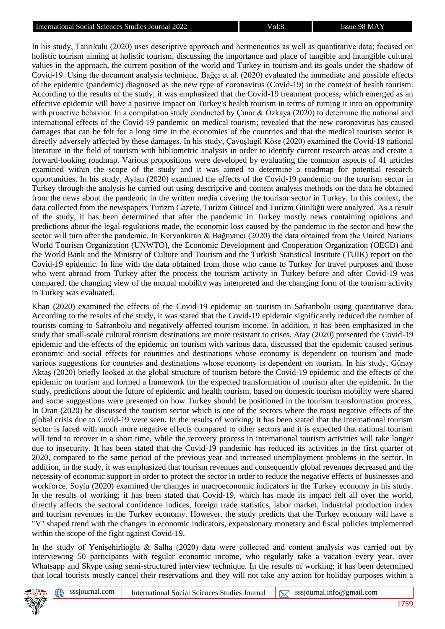In his study, Tanrıkulu (2020) uses descriptive approach and hermeneutics as well as quantitative data; focused on holistic tourism aiming at holistic tourism, discussing the importance and place of tangible and intangible cultural values in the approach, the current position of the world and Turkey in tourism and its goals under the shadow of Covid-19. Using the document analysis technique, Bağçı et al. (2020) evaluated the immediate and possible effects of the epidemic (pandemic) diagnosed as the new type of coronavirus (Covid-19) in the context of health tourism. According to the results of the study; it was emphasized that the Covid-19 treatment process, which emerged as an effective epidemic will have a positive impact on Turkey's health tourism in terms of turning it into an opportunity with proactive behavior. In a compilation study conducted by Cinar & Özkaya (2020) to determine the national and international effects of the Covid-19 pandemic on medical tourism; revealed that the new coronavirus has caused damages that can be felt for a long time in the economies of the countries and that the medical tourism sector is directly adversely affected by these damages. In his study, Çavuşlugil Köse (2020) examined the Covid-19 national literature in the field of tourism with bibliometric analysis in order to identify current research areas and create a forward-looking roadmap. Various propositions were developed by evaluating the common aspects of 41 articles examined within the scope of the study and it was aimed to determine a roadmap for potential research opportunities. In his study, Aylan (2020) examined the effects of the Covid-19 pandemic on the tourism sector in Turkey through the analysis he carried out using descriptive and content analysis methods on the data he obtained from the news about the pandemic in the written media covering the tourism sector in Turkey. In this context, the data collected from the newspapers Turizm Gazete, Turizm Güncel and Turizm Günlüğü were analyzed. As a result of the study, it has been determined that after the pandemic in Turkey mostly news containing opinions and predictions about the legal regulations made, the economic loss caused by the pandemic in the sector and how the sector will turn after the pandemic. In Kervankıran & Bağmancı (2020) the data obtained from the United Nations World Tourism Organization (UNWTO), the Economic Development and Cooperation Organization (OECD) and the World Bank and the Ministry of Culture and Tourism and the Turkish Statistical Institute (TUIK) report on the Covid-19 epidemic. In line with the data obtained from those who came to Turkey for travel purposes and those who went abroad from Turkey after the process the tourism activity in Turkey before and after Covid-19 was compared, the changing view of the mutual mobility was interpreted and the changing form of the tourism activity in Turkey was evaluated.

Khan (2020) examined the effects of the Covid-19 epidemic on tourism in Safranbolu using quantitative data. According to the results of the study, it was stated that the Covid-19 epidemic significantly reduced the number of tourists coming to Safranbolu and negatively affected tourism income. In addition, it has been emphasized in the study that small-scale cultural tourism destinations are more resistant to crises. Atay (2020) presented the Covid-19 epidemic and the effects of the epidemic on tourism with various data, discussed that the epidemic caused serious economic and social effects for countries and destinations whose economy is dependent on tourism and made various suggestions for countries and destinations whose economy is dependent on tourism. In his study, Günay Aktaş (2020) briefly looked at the global structure of tourism before the Covid-19 epidemic and the effects of the epidemic on tourism and formed a framework for the expected transformation of tourism after the epidemic. In the study, predictions about the future of epidemic and health tourism, based on domestic tourism mobility were shared and some suggestions were presented on how Turkey should be positioned in the tourism transformation process. In Oran (2020) he discussed the tourism sector which is one of the sectors where the most negative effects of the global crisis due to Covid-19 were seen. In the results of working; it has been stated that the international tourism sector is faced with much more negative effects compared to other sectors and it is expected that national tourism will tend to recover in a short time, while the recovery process in international tourism activities will take longer due to insecurity. It has been stated that the Covid-19 pandemic has reduced its activities in the first quarter of 2020, compared to the same period of the previous year and increased unemployment problems in the sector. In addition, in the study, it was emphasized that tourism revenues and consequently global revenues decreased and the necessity of economic support in order to protect the sector in order to reduce the negative effects of businesses and workforce. Soylu (2020) examined the changes in macroeconomic indicators in the Turkey economy in his study. In the results of working; it has been stated that Covid-19, which has made its impact felt all over the world, directly affects the sectoral confidence indices, foreign trade statistics, labor market, industrial production index and tourism revenues in the Turkey economy. However, the study predicts that the Turkey economy will have a "V" shaped trend with the changes in economic indicators, expansionary monetary and fiscal policies implemented within the scope of the fight against Covid-19.

In the study of Yenişehirlioğlu & Salha (2020) data were collected and content analysis was carried out by interviewing 50 participants with regular economic income, who regularly take a vacation every year, over Whatsapp and Skype using semi-structured interview technique. In the results of working; it has been determined that local tourists mostly cancel their reservations and they will not take any action for holiday purposes within a

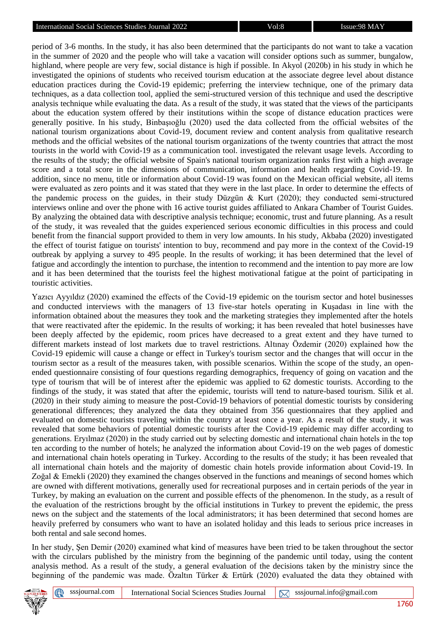period of 3-6 months. In the study, it has also been determined that the participants do not want to take a vacation in the summer of 2020 and the people who will take a vacation will consider options such as summer, bungalow, highland, where people are very few, social distance is high if possible. In Akyol (2020b) in his study in which he investigated the opinions of students who received tourism education at the associate degree level about distance education practices during the Covid-19 epidemic; preferring the interview technique, one of the primary data techniques, as a data collection tool, applied the semi-structured version of this technique and used the descriptive analysis technique while evaluating the data. As a result of the study, it was stated that the views of the participants about the education system offered by their institutions within the scope of distance education practices were generally positive. In his study, Binbaşıoğlu (2020) used the data collected from the official websites of the national tourism organizations about Covid-19, document review and content analysis from qualitative research methods and the official websites of the national tourism organizations of the twenty countries that attract the most tourists in the world with Covid-19 as a communication tool. investigated the relevant usage levels. According to the results of the study; the official website of Spain's national tourism organization ranks first with a high average score and a total score in the dimensions of communication, information and health regarding Covid-19. In addition, since no menu, title or information about Covid-19 was found on the Mexican official website, all items were evaluated as zero points and it was stated that they were in the last place. In order to determine the effects of the pandemic process on the guides, in their study Düzgün & Kurt (2020); they conducted semi-structured interviews online and over the phone with 16 active tourist guides affiliated to Ankara Chamber of Tourist Guides. By analyzing the obtained data with descriptive analysis technique; economic, trust and future planning. As a result of the study, it was revealed that the guides experienced serious economic difficulties in this process and could benefit from the financial support provided to them in very low amounts. In his study, Akbaba (2020) investigated the effect of tourist fatigue on tourists' intention to buy, recommend and pay more in the context of the Covid-19 outbreak by applying a survey to 495 people. In the results of working; it has been determined that the level of fatigue and accordingly the intention to purchase, the intention to recommend and the intention to pay more are low and it has been determined that the tourists feel the highest motivational fatigue at the point of participating in touristic activities.

Yazıcı Ayyıldız (2020) examined the effects of the Covid-19 epidemic on the tourism sector and hotel businesses and conducted interviews with the managers of 13 five-star hotels operating in Kuşadası in line with the information obtained about the measures they took and the marketing strategies they implemented after the hotels that were reactivated after the epidemic. In the results of working; it has been revealed that hotel businesses have been deeply affected by the epidemic, room prices have decreased to a great extent and they have turned to different markets instead of lost markets due to travel restrictions. Altınay Özdemir (2020) explained how the Covid-19 epidemic will cause a change or effect in Turkey's tourism sector and the changes that will occur in the tourism sector as a result of the measures taken, with possible scenarios. Within the scope of the study, an openended questionnaire consisting of four questions regarding demographics, frequency of going on vacation and the type of tourism that will be of interest after the epidemic was applied to 62 domestic tourists. According to the findings of the study, it was stated that after the epidemic, tourists will tend to nature-based tourism. Silik et al. (2020) in their study aiming to measure the post-Covid-19 behaviors of potential domestic tourists by considering generational differences; they analyzed the data they obtained from 356 questionnaires that they applied and evaluated on domestic tourists traveling within the country at least once a year. As a result of the study, it was revealed that some behaviors of potential domestic tourists after the Covid-19 epidemic may differ according to generations. Eryılmaz (2020) in the study carried out by selecting domestic and international chain hotels in the top ten according to the number of hotels; he analyzed the information about Covid-19 on the web pages of domestic and international chain hotels operating in Turkey. According to the results of the study; it has been revealed that all international chain hotels and the majority of domestic chain hotels provide information about Covid-19. In Zoğal & Emekli (2020) they examined the changes observed in the functions and meanings of second homes which are owned with different motivations, generally used for recreational purposes and in certain periods of the year in Turkey, by making an evaluation on the current and possible effects of the phenomenon. In the study, as a result of the evaluation of the restrictions brought by the official institutions in Turkey to prevent the epidemic, the press news on the subject and the statements of the local administrators; it has been determined that second homes are heavily preferred by consumers who want to have an isolated holiday and this leads to serious price increases in both rental and sale second homes.

In her study, Şen Demir (2020) examined what kind of measures have been tried to be taken throughout the sector with the circulars published by the ministry from the beginning of the pandemic until today, using the content analysis method. As a result of the study, a general evaluation of the decisions taken by the ministry since the beginning of the pandemic was made. Özaltın Türker & Ertürk (2020) evaluated the data they obtained with



⊕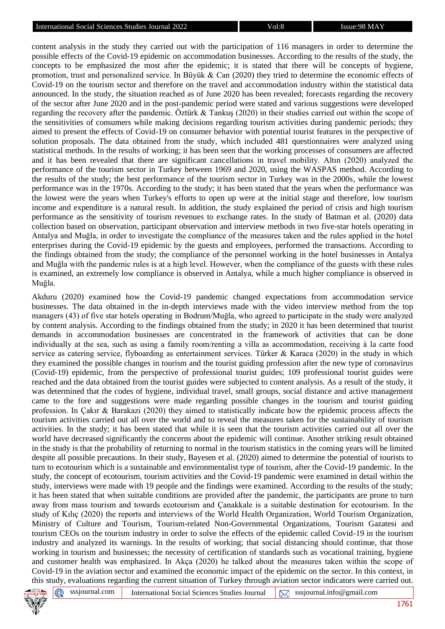content analysis in the study they carried out with the participation of 116 managers in order to determine the possible effects of the Covid-19 epidemic on accommodation businesses. According to the results of the study, the concepts to be emphasized the most after the epidemic; it is stated that there will be concepts of hygiene, promotion, trust and personalized service. In Büyük & Can (2020) they tried to determine the economic effects of Covid-19 on the tourism sector and therefore on the travel and accommodation industry within the statistical data announced. In the study, the situation reached as of June 2020 has been revealed; forecasts regarding the recovery of the sector after June 2020 and in the post-pandemic period were stated and various suggestions were developed regarding the recovery after the pandemic. Öztürk & Tankuş (2020) in their studies carried out within the scope of the sensitivities of consumers while making decisions regarding tourism activities during pandemic periods; they aimed to present the effects of Covid-19 on consumer behavior with potential tourist features in the perspective of solution proposals. The data obtained from the study, which included 481 questionnaires were analyzed using statistical methods. In the results of working; it has been seen that the working processes of consumers are affected and it has been revealed that there are significant cancellations in travel mobility. Altın (2020) analyzed the performance of the tourism sector in Turkey between 1969 and 2020, using the WASPAS method. According to the results of the study; the best performance of the tourism sector in Turkey was in the 2000s, while the lowest performance was in the 1970s. According to the study; it has been stated that the years when the performance was the lowest were the years when Turkey's efforts to open up were at the initial stage and therefore, low tourism income and expenditure is a natural result. In addition, the study explained the period of crisis and high tourism performance as the sensitivity of tourism revenues to exchange rates. In the study of Batman et al. (2020) data collection based on observation, participant observation and interview methods in two five-star hotels operating in Antalya and Muğla, in order to investigate the compliance of the measures taken and the rules applied in the hotel enterprises during the Covid-19 epidemic by the guests and employees, performed the transactions. According to the findings obtained from the study; the compliance of the personnel working in the hotel businesses in Antalya and Muğla with the pandemic rules is at a high level. However, when the compliance of the guests with these rules is examined, an extremely low compliance is observed in Antalya, while a much higher compliance is observed in Muğla.

Akduru (2020) examined how the Covid-19 pandemic changed expectations from accommodation service businesses. The data obtained in the in-depth interviews made with the video interview method from the top managers (43) of five star hotels operating in Bodrum/Muğla, who agreed to participate in the study were analyzed by content analysis. According to the findings obtained from the study; in 2020 it has been determined that tourist demands in accommodation businesses are concentrated in the framework of activities that can be done individually at the sea, such as using a family room/renting a villa as accommodation, receiving à la carte food service as catering service, flyboarding as entertainment services. Türker & Karaca (2020) in the study in which they examined the possible changes in tourism and the tourist guiding profession after the new type of coronavirus (Covid-19) epidemic, from the perspective of professional tourist guides; 109 professional tourist guides were reached and the data obtained from the tourist guides were subjected to content analysis. As a result of the study, it was determined that the codes of hygiene, individual travel, small groups, social distance and active management came to the fore and suggestions were made regarding possible changes in the tourism and tourist guiding profession. In Çakır & Barakazi (2020) they aimed to statistically indicate how the epidemic process affects the tourism activities carried out all over the world and to reveal the measures taken for the sustainability of tourism activities. In the study; it has been stated that while it is seen that the tourism activities carried out all over the world have decreased significantly the concerns about the epidemic will continue. Another striking result obtained in the study is that the probability of returning to normal in the tourism statistics in the coming years will be limited despite all possible precautions. In their study, Bayesen et al. (2020) aimed to determine the potential of tourists to turn to ecotourism which is a sustainable and environmentalist type of tourism, after the Covid-19 pandemic. In the study, the concept of ecotourism, tourism activities and the Covid-19 pandemic were examined in detail within the study, interviews were made with 19 people and the findings were examined. According to the results of the study; it has been stated that when suitable conditions are provided after the pandemic, the participants are prone to turn away from mass tourism and towards ecotourism and Çanakkale is a suitable destination for ecotourism. In the study of Kılıç (2020) the reports and interviews of the World Health Organization, World Tourism Organization, Ministry of Culture and Tourism, Tourism-related Non-Governmental Organizations, Tourism Gazatesi and tourism CEOs on the tourism industry in order to solve the effects of the epidemic called Covid-19 in the tourism industry and analyzed its warnings. In the results of working; that social distancing should continue, that those working in tourism and businesses; the necessity of certification of standards such as vocational training, hygiene and customer health was emphasized. In Akça (2020) he talked about the measures taken within the scope of Covid-19 in the aviation sector and examined the economic impact of the epidemic on the sector. In this context, in this study, evaluations regarding the current situation of Turkey through aviation sector indicators were carried out.

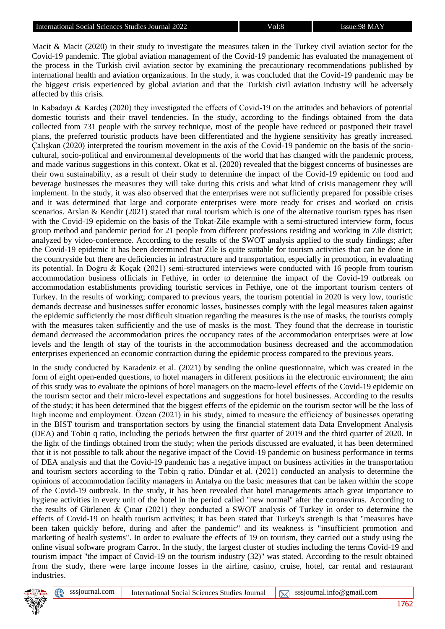Macit & Macit (2020) in their study to investigate the measures taken in the Turkey civil aviation sector for the Covid-19 pandemic. The global aviation management of the Covid-19 pandemic has evaluated the management of the process in the Turkish civil aviation sector by examining the precautionary recommendations published by international health and aviation organizations. In the study, it was concluded that the Covid-19 pandemic may be the biggest crisis experienced by global aviation and that the Turkish civil aviation industry will be adversely affected by this crisis.

In Kabadayı & Kardeş (2020) they investigated the effects of Covid-19 on the attitudes and behaviors of potential domestic tourists and their travel tendencies. In the study, according to the findings obtained from the data collected from 731 people with the survey technique, most of the people have reduced or postponed their travel plans, the preferred touristic products have been differentiated and the hygiene sensitivity has greatly increased. Çalışkan (2020) interpreted the tourism movement in the axis of the Covid-19 pandemic on the basis of the sociocultural, socio-political and environmental developments of the world that has changed with the pandemic process, and made various suggestions in this context. Okat et al. (2020) revealed that the biggest concerns of businesses are their own sustainability, as a result of their study to determine the impact of the Covid-19 epidemic on food and beverage businesses the measures they will take during this crisis and what kind of crisis management they will implement. In the study, it was also observed that the enterprises were not sufficiently prepared for possible crises and it was determined that large and corporate enterprises were more ready for crises and worked on crisis scenarios. Arslan & Kendir (2021) stated that rural tourism which is one of the alternative tourism types has risen with the Covid-19 epidemic on the basis of the Tokat-Zile example with a semi-structured interview form, focus group method and pandemic period for 21 people from different professions residing and working in Zile district; analyzed by video-conference. According to the results of the SWOT analysis applied to the study findings; after the Covid-19 epidemic it has been determined that Zile is quite suitable for tourism activities that can be done in the countryside but there are deficiencies in infrastructure and transportation, especially in promotion, in evaluating its potential. In Doğru & Koçak (2021) semi-structured interviews were conducted with 16 people from tourism accommodation business officials in Fethiye, in order to determine the impact of the Covid-19 outbreak on accommodation establishments providing touristic services in Fethiye, one of the important tourism centers of Turkey. In the results of working; compared to previous years, the tourism potential in 2020 is very low, touristic demands decrease and businesses suffer economic losses, businesses comply with the legal measures taken against the epidemic sufficiently the most difficult situation regarding the measures is the use of masks, the tourists comply with the measures taken sufficiently and the use of masks is the most. They found that the decrease in touristic demand decreased the accommodation prices the occupancy rates of the accommodation enterprises were at low levels and the length of stay of the tourists in the accommodation business decreased and the accommodation enterprises experienced an economic contraction during the epidemic process compared to the previous years.

In the study conducted by Karadeniz et al. (2021) by sending the online questionnaire, which was created in the form of eight open-ended questions, to hotel managers in different positions in the electronic environment; the aim of this study was to evaluate the opinions of hotel managers on the macro-level effects of the Covid-19 epidemic on the tourism sector and their micro-level expectations and suggestions for hotel businesses. According to the results of the study; it has been determined that the biggest effects of the epidemic on the tourism sector will be the loss of high income and employment. Özcan (2021) in his study, aimed to measure the efficiency of businesses operating in the BIST tourism and transportation sectors by using the financial statement data Data Envelopment Analysis (DEA) and Tobin q ratio, including the periods between the first quarter of 2019 and the third quarter of 2020. In the light of the findings obtained from the study; when the periods discussed are evaluated, it has been determined that it is not possible to talk about the negative impact of the Covid-19 pandemic on business performance in terms of DEA analysis and that the Covid-19 pandemic has a negative impact on business activities in the transportation and tourism sectors according to the Tobin q ratio. Dündar et al. (2021) conducted an analysis to determine the opinions of accommodation facility managers in Antalya on the basic measures that can be taken within the scope of the Covid-19 outbreak. In the study, it has been revealed that hotel managements attach great importance to hygiene activities in every unit of the hotel in the period called "new normal" after the coronavirus. According to the results of Gürlenen & Çınar (2021) they conducted a SWOT analysis of Turkey in order to determine the effects of Covid-19 on health tourism activities; it has been stated that Turkey's strength is that "measures have been taken quickly before, during and after the pandemic" and its weakness is "insufficient promotion and marketing of health systems". In order to evaluate the effects of 19 on tourism, they carried out a study using the online visual software program Carrot. In the study, the largest cluster of studies including the terms Covid-19 and tourism impact "the impact of Covid-19 on the tourism industry (32)" was stated. According to the result obtained from the study, there were large income losses in the airline, casino, cruise, hotel, car rental and restaurant industries.



⊕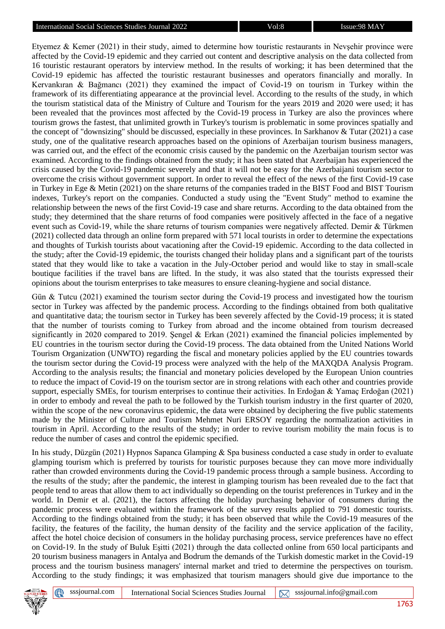Etyemez & Kemer (2021) in their study, aimed to determine how touristic restaurants in Nevşehir province were affected by the Covid-19 epidemic and they carried out content and descriptive analysis on the data collected from 16 touristic restaurant operators by interview method. In the results of working; it has been determined that the Covid-19 epidemic has affected the touristic restaurant businesses and operators financially and morally. In Kervankıran & Bağmancı (2021) they examined the impact of Covid-19 on tourism in Turkey within the framework of its differentiating appearance at the provincial level. According to the results of the study, in which the tourism statistical data of the Ministry of Culture and Tourism for the years 2019 and 2020 were used; it has been revealed that the provinces most affected by the Covid-19 process in Turkey are also the provinces where tourism grows the fastest, that unlimited growth in Turkey's tourism is problematic in some provinces spatially and the concept of "downsizing" should be discussed, especially in these provinces. In Sarkhanov & Tutar (2021) a case study, one of the qualitative research approaches based on the opinions of Azerbaijan tourism business managers, was carried out, and the effect of the economic crisis caused by the pandemic on the Azerbaijan tourism sector was examined. According to the findings obtained from the study; it has been stated that Azerbaijan has experienced the crisis caused by the Covid-19 pandemic severely and that it will not be easy for the Azerbaijani tourism sector to overcome the crisis without government support. In order to reveal the effect of the news of the first Covid-19 case in Turkey in Ege & Metin (2021) on the share returns of the companies traded in the BIST Food and BIST Tourism indexes, Turkey's report on the companies. Conducted a study using the "Event Study" method to examine the relationship between the news of the first Covid-19 case and share returns. According to the data obtained from the study; they determined that the share returns of food companies were positively affected in the face of a negative event such as Covid-19, while the share returns of tourism companies were negatively affected. Demir & Türkmen (2021) collected data through an online form prepared with 571 local tourists in order to determine the expectations and thoughts of Turkish tourists about vacationing after the Covid-19 epidemic. According to the data collected in the study; after the Covid-19 epidemic, the tourists changed their holiday plans and a significant part of the tourists stated that they would like to take a vacation in the July-October period and would like to stay in small-scale boutique facilities if the travel bans are lifted. In the study, it was also stated that the tourists expressed their opinions about the tourism enterprises to take measures to ensure cleaning-hygiene and social distance.

Gün & Tutcu (2021) examined the tourism sector during the Covid-19 process and investigated how the tourism sector in Turkey was affected by the pandemic process. According to the findings obtained from both qualitative and quantitative data; the tourism sector in Turkey has been severely affected by the Covid-19 process; it is stated that the number of tourists coming to Turkey from abroad and the income obtained from tourism decreased significantly in 2020 compared to 2019. Şengel & Erkan (2021) examined the financial policies implemented by EU countries in the tourism sector during the Covid-19 process. The data obtained from the United Nations World Tourism Organization (UNWTO) regarding the fiscal and monetary policies applied by the EU countries towards the tourism sector during the Covid-19 process were analyzed with the help of the MAXQDA Analysis Program. According to the analysis results; the financial and monetary policies developed by the European Union countries to reduce the impact of Covid-19 on the tourism sector are in strong relations with each other and countries provide support, especially SMEs, for tourism enterprises to continue their activities. In Erdoğan & Yamaç Erdoğan (2021) in order to embody and reveal the path to be followed by the Turkish tourism industry in the first quarter of 2020, within the scope of the new coronavirus epidemic, the data were obtained by deciphering the five public statements made by the Minister of Culture and Tourism Mehmet Nuri ERSOY regarding the normalization activities in tourism in April. According to the results of the study; in order to revive tourism mobility the main focus is to reduce the number of cases and control the epidemic specified.

In his study, Düzgün (2021) Hypnos Sapanca Glamping & Spa business conducted a case study in order to evaluate glamping tourism which is preferred by tourists for touristic purposes because they can move more individually rather than crowded environments during the Covid-19 pandemic process through a sample business. According to the results of the study; after the pandemic, the interest in glamping tourism has been revealed due to the fact that people tend to areas that allow them to act individually so depending on the tourist preferences in Turkey and in the world. In Demir et al. (2021), the factors affecting the holiday purchasing behavior of consumers during the pandemic process were evaluated within the framework of the survey results applied to 791 domestic tourists. According to the findings obtained from the study; it has been observed that while the Covid-19 measures of the facility, the features of the facility, the human density of the facility and the service application of the facility, affect the hotel choice decision of consumers in the holiday purchasing process, service preferences have no effect on Covid-19. In the study of Buluk Eşitti (2021) through the data collected online from 650 local participants and 20 tourism business managers in Antalya and Bodrum the demands of the Turkish domestic market in the Covid-19 process and the tourism business managers' internal market and tried to determine the perspectives on tourism. According to the study findings; it was emphasized that tourism managers should give due importance to the

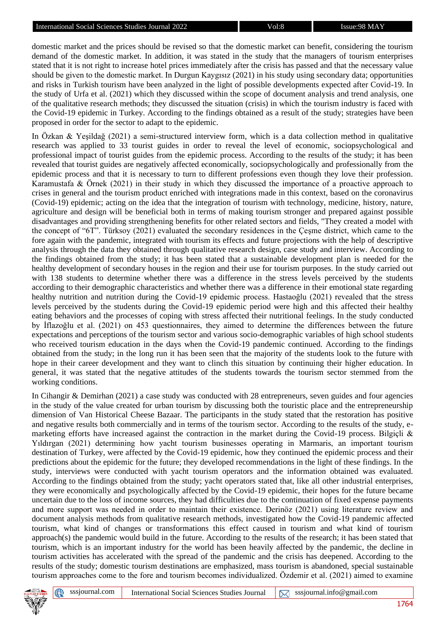domestic market and the prices should be revised so that the domestic market can benefit, considering the tourism demand of the domestic market. In addition, it was stated in the study that the managers of tourism enterprises stated that it is not right to increase hotel prices immediately after the crisis has passed and that the necessary value should be given to the domestic market. In Durgun Kaygısız (2021) in his study using secondary data; opportunities and risks in Turkish tourism have been analyzed in the light of possible developments expected after Covid-19. In the study of Urfa et al. (2021) which they discussed within the scope of document analysis and trend analysis, one of the qualitative research methods; they discussed the situation (crisis) in which the tourism industry is faced with the Covid-19 epidemic in Turkey. According to the findings obtained as a result of the study; strategies have been proposed in order for the sector to adapt to the epidemic.

In Özkan & Yeşildağ (2021) a semi-structured interview form, which is a data collection method in qualitative research was applied to 33 tourist guides in order to reveal the level of economic, sociopsychological and professional impact of tourist guides from the epidemic process. According to the results of the study; it has been revealed that tourist guides are negatively affected economically, sociopsychologically and professionally from the epidemic process and that it is necessary to turn to different professions even though they love their profession. Karamustafa & Örnek (2021) in their study in which they discussed the importance of a proactive approach to crises in general and the tourism product enriched with integrations made in this context, based on the coronavirus (Covid-19) epidemic; acting on the idea that the integration of tourism with technology, medicine, history, nature, agriculture and design will be beneficial both in terms of making tourism stronger and prepared against possible disadvantages and providing strengthening benefits for other related sectors and fields, "They created a model with the concept of "6T". Türksoy (2021) evaluated the secondary residences in the Çeşme district, which came to the fore again with the pandemic, integrated with tourism its effects and future projections with the help of descriptive analysis through the data they obtained through qualitative research design, case study and interview. According to the findings obtained from the study; it has been stated that a sustainable development plan is needed for the healthy development of secondary houses in the region and their use for tourism purposes. In the study carried out with 138 students to determine whether there was a difference in the stress levels perceived by the students according to their demographic characteristics and whether there was a difference in their emotional state regarding healthy nutrition and nutrition during the Covid-19 epidemic process. Hastaoğlu (2021) revealed that the stress levels perceived by the students during the Covid-19 epidemic period were high and this affected their healthy eating behaviors and the processes of coping with stress affected their nutritional feelings. In the study conducted by İflazoğlu et al. (2021) on 453 questionnaires, they aimed to determine the differences between the future expectations and perceptions of the tourism sector and various socio-demographic variables of high school students who received tourism education in the days when the Covid-19 pandemic continued. According to the findings obtained from the study; in the long run it has been seen that the majority of the students look to the future with hope in their career development and they want to clinch this situation by continuing their higher education. In general, it was stated that the negative attitudes of the students towards the tourism sector stemmed from the working conditions.

In Cihangir & Demirhan (2021) a case study was conducted with 28 entrepreneurs, seven guides and four agencies in the study of the value created for urban tourism by discussing both the touristic place and the entrepreneurship dimension of Van Historical Cheese Bazaar. The participants in the study stated that the restoration has positive and negative results both commercially and in terms of the tourism sector. According to the results of the study, emarketing efforts have increased against the contraction in the market during the Covid-19 process. Bilgiçli  $\&$ Yıldırgan (2021) determining how yacht tourism businesses operating in Marmaris, an important tourism destination of Turkey, were affected by the Covid-19 epidemic, how they continued the epidemic process and their predictions about the epidemic for the future; they developed recommendations in the light of these findings. In the study, interviews were conducted with yacht tourism operators and the information obtained was evaluated. According to the findings obtained from the study; yacht operators stated that, like all other industrial enterprises, they were economically and psychologically affected by the Covid-19 epidemic, their hopes for the future became uncertain due to the loss of income sources, they had difficulties due to the continuation of fixed expense payments and more support was needed in order to maintain their existence. Derinöz (2021) using literature review and document analysis methods from qualitative research methods, investigated how the Covid-19 pandemic affected tourism, what kind of changes or transformations this effect caused in tourism and what kind of tourism approach(s) the pandemic would build in the future. According to the results of the research; it has been stated that tourism, which is an important industry for the world has been heavily affected by the pandemic, the decline in tourism activities has accelerated with the spread of the pandemic and the crisis has deepened. According to the results of the study; domestic tourism destinations are emphasized, mass tourism is abandoned, special sustainable tourism approaches come to the fore and tourism becomes individualized. Özdemir et al. (2021) aimed to examine

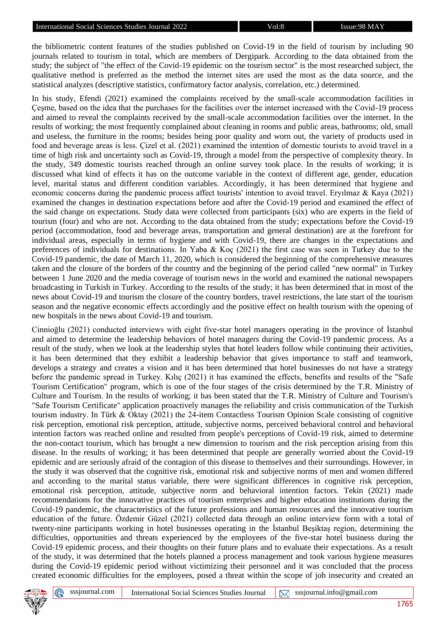the bibliometric content features of the studies published on Covid-19 in the field of tourism by including 90 journals related to tourism in total, which are members of Dergipark. According to the data obtained from the study; the subject of "the effect of the Covid-19 epidemic on the tourism sector" is the most researched subject, the qualitative method is preferred as the method the internet sites are used the most as the data source, and the statistical analyzes (descriptive statistics, confirmatory factor analysis, correlation, etc.) determined.

In his study, Efendi (2021) examined the complaints received by the small-scale accommodation facilities in Çeşme, based on the idea that the purchases for the facilities over the internet increased with the Covid-19 process and aimed to reveal the complaints received by the small-scale accommodation facilities over the internet. In the results of working; the most frequently complained about cleaning in rooms and public areas, bathrooms; old, small and useless, the furniture in the rooms; besides being poor quality and worn out, the variety of products used in food and beverage areas is less. Çizel et al. (2021) examined the intention of domestic tourists to avoid travel in a time of high risk and uncertainty such as Covid-19, through a model from the perspective of complexity theory. In the study, 349 domestic tourists reached through an online survey took place. In the results of working; it is discussed what kind of effects it has on the outcome variable in the context of different age, gender, education level, marital status and different condition variables. Accordingly, it has been determined that hygiene and economic concerns during the pandemic process affect tourists' intention to avoid travel. Eryılmaz & Kaya (2021) examined the changes in destination expectations before and after the Covid-19 period and examined the effect of the said change on expectations. Study data were collected from participants (six) who are experts in the field of tourism (four) and who are not. According to the data obtained from the study; expectations before the Covid-19 period (accommodation, food and beverage areas, transportation and general destination) are at the forefront for individual areas, especially in terms of hygiene and with Covid-19, there are changes in the expectations and preferences of individuals for destinations. In Yaba & Koç (2021) the first case was seen in Turkey due to the Covid-19 pandemic, the date of March 11, 2020, which is considered the beginning of the comprehensive measures taken and the closure of the borders of the country and the beginning of the period called "new normal" in Turkey between 1 June 2020 and the media coverage of tourism news in the world and examined the national newspapers broadcasting in Turkish in Turkey. According to the results of the study; it has been determined that in most of the news about Covid-19 and tourism the closure of the country borders, travel restrictions, the late start of the tourism season and the negative economic effects accordingly and the positive effect on health tourism with the opening of new hospitals in the news about Covid-19 and tourism.

Cinnioğlu (2021) conducted interviews with eight five-star hotel managers operating in the province of İstanbul and aimed to determine the leadership behaviors of hotel managers during the Covid-19 pandemic process. As a result of the study, when we look at the leadership styles that hotel leaders follow while continuing their activities, it has been determined that they exhibit a leadership behavior that gives importance to staff and teamwork, develops a strategy and creates a vision and it has been determined that hotel businesses do not have a strategy before the pandemic spread in Turkey. Kılıç (2021) it has examined the effects, benefits and results of the "Safe Tourism Certification" program, which is one of the four stages of the crisis determined by the T.R. Ministry of Culture and Tourism. In the results of working; it has been stated that the T.R. Ministry of Culture and Tourism's "Safe Tourism Certificate" application proactively manages the reliability and crisis communication of the Turkish tourism industry. In Türk & Oktay (2021) the 24-item Contactless Tourism Opinion Scale consisting of cognitive risk perception, emotional risk perception, attitude, subjective norms, perceived behavioral control and behavioral intention factors was reached online and resulted from people's perceptions of Covid-19 risk, aimed to determine the non-contact tourism, which has brought a new dimension to tourism and the risk perception arising from this disease. In the results of working; it has been determined that people are generally worried about the Covid-19 epidemic and are seriously afraid of the contagion of this disease to themselves and their surroundings. However, in the study it was observed that the cognitive risk, emotional risk and subjective norms of men and women differed and according to the marital status variable, there were significant differences in cognitive risk perception, emotional risk perception, attitude, subjective norm and behavioral intention factors. Tekin (2021) made recommendations for the innovative practices of tourism enterprises and higher education institutions during the Covid-19 pandemic, the characteristics of the future professions and human resources and the innovative tourism education of the future. Özdemir Güzel (2021) collected data through an online interview form with a total of twenty-nine participants working in hotel businesses operating in the İstanbul Beşiktaş region, determining the difficulties, opportunities and threats experienced by the employees of the five-star hotel business during the Covid-19 epidemic process, and their thoughts on their future plans and to evaluate their expectations. As a result of the study, it was determined that the hotels planned a process management and took various hygiene measures during the Covid-19 epidemic period without victimizing their personnel and it was concluded that the process created economic difficulties for the employees, posed a threat within the scope of job insecurity and created an

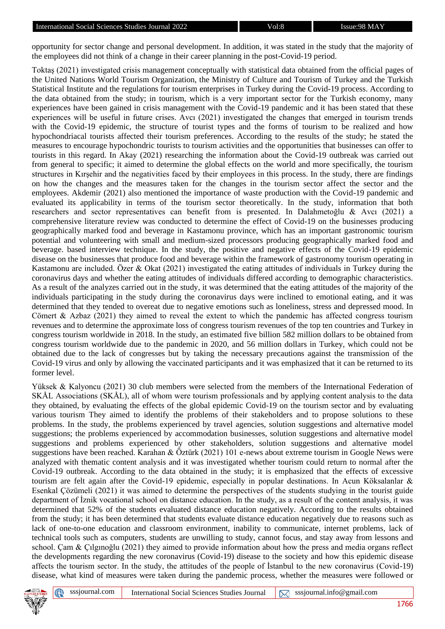opportunity for sector change and personal development. In addition, it was stated in the study that the majority of the employees did not think of a change in their career planning in the post-Covid-19 period.

Toktaş (2021) investigated crisis management conceptually with statistical data obtained from the official pages of the United Nations World Tourism Organization, the Ministry of Culture and Tourism of Turkey and the Turkish Statistical Institute and the regulations for tourism enterprises in Turkey during the Covid-19 process. According to the data obtained from the study; in tourism, which is a very important sector for the Turkish economy, many experiences have been gained in crisis management with the Covid-19 pandemic and it has been stated that these experiences will be useful in future crises. Avcı (2021) investigated the changes that emerged in tourism trends with the Covid-19 epidemic, the structure of tourist types and the forms of tourism to be realized and how hypochondriacal tourists affected their tourism preferences. According to the results of the study; he stated the measures to encourage hypochondric tourists to tourism activities and the opportunities that businesses can offer to tourists in this regard. In Akay (2021) researching the information about the Covid-19 outbreak was carried out from general to specific; it aimed to determine the global effects on the world and more specifically, the tourism structures in Kırşehir and the negativities faced by their employees in this process. In the study, there are findings on how the changes and the measures taken for the changes in the tourism sector affect the sector and the employees. Akdemir (2021) also mentioned the importance of waste production with the Covid-19 pandemic and evaluated its applicability in terms of the tourism sector theoretically. In the study, information that both researchers and sector representatives can benefit from is presented. In Dalahmetoğlu & Avcı (2021) a comprehensive literature review was conducted to determine the effect of Covid-19 on the businesses producing geographically marked food and beverage in Kastamonu province, which has an important gastronomic tourism potential and volunteering with small and medium-sized processors producing geographically marked food and beverage. based interview technique. In the study, the positive and negative effects of the Covid-19 epidemic disease on the businesses that produce food and beverage within the framework of gastronomy tourism operating in Kastamonu are included. Özer & Okat (2021) investigated the eating attitudes of individuals in Turkey during the coronavirus days and whether the eating attitudes of individuals differed according to demographic characteristics. As a result of the analyzes carried out in the study, it was determined that the eating attitudes of the majority of the individuals participating in the study during the coronavirus days were inclined to emotional eating, and it was determined that they tended to overeat due to negative emotions such as loneliness, stress and depressed mood. In Cömert & Azbaz (2021) they aimed to reveal the extent to which the pandemic has affected congress tourism revenues and to determine the approximate loss of congress tourism revenues of the top ten countries and Turkey in congress tourism worldwide in 2018. In the study, an estimated five billion 582 million dollars to be obtained from congress tourism worldwide due to the pandemic in 2020, and 56 million dollars in Turkey, which could not be obtained due to the lack of congresses but by taking the necessary precautions against the transmission of the Covid-19 virus and only by allowing the vaccinated participants and it was emphasized that it can be returned to its former level.

Yüksek & Kalyoncu (2021) 30 club members were selected from the members of the International Federation of SKÅL Associations (SKÅL), all of whom were tourism professionals and by applying content analysis to the data they obtained, by evaluating the effects of the global epidemic Covid-19 on the tourism sector and by evaluating various tourism They aimed to identify the problems of their stakeholders and to propose solutions to these problems. In the study, the problems experienced by travel agencies, solution suggestions and alternative model suggestions; the problems experienced by accommodation businesses, solution suggestions and alternative model suggestions and problems experienced by other stakeholders, solution suggestions and alternative model suggestions have been reached. Karahan & Öztürk (2021) 101 e-news about extreme tourism in Google News were analyzed with thematic content analysis and it was investigated whether tourism could return to normal after the Covid-19 outbreak. According to the data obtained in the study; it is emphasized that the effects of excessive tourism are felt again after the Covid-19 epidemic, especially in popular destinations. In Acun Köksalanlar & Esenkal Çözümeli (2021) it was aimed to determine the perspectives of the students studying in the tourist guide department of İznik vocational school on distance education. In the study, as a result of the content analysis, it was determined that 52% of the students evaluated distance education negatively. According to the results obtained from the study; it has been determined that students evaluate distance education negatively due to reasons such as lack of one-to-one education and classroom environment, inability to communicate, internet problems, lack of technical tools such as computers, students are unwilling to study, cannot focus, and stay away from lessons and school. Çam & Çılgınoğlu (2021) they aimed to provide information about how the press and media organs reflect the developments regarding the new coronavirus (Covid-19) disease to the society and how this epidemic disease affects the tourism sector. In the study, the attitudes of the people of İstanbul to the new coronavirus (Covid-19) disease, what kind of measures were taken during the pandemic process, whether the measures were followed or



⊕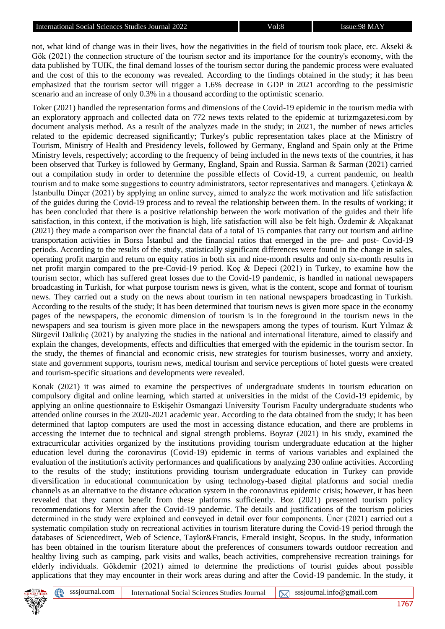not, what kind of change was in their lives, how the negativities in the field of tourism took place, etc. Akseki & Gök (2021) the connection structure of the tourism sector and its importance for the country's economy, with the data published by TUIK, the final demand losses of the tourism sector during the pandemic process were evaluated and the cost of this to the economy was revealed. According to the findings obtained in the study; it has been emphasized that the tourism sector will trigger a 1.6% decrease in GDP in 2021 according to the pessimistic scenario and an increase of only 0.3% in a thousand according to the optimistic scenario.

Toker (2021) handled the representation forms and dimensions of the Covid-19 epidemic in the tourism media with an exploratory approach and collected data on 772 news texts related to the epidemic at turizmgazetesi.com by document analysis method. As a result of the analyzes made in the study; in 2021, the number of news articles related to the epidemic decreased significantly; Turkey's public representation takes place at the Ministry of Tourism, Ministry of Health and Presidency levels, followed by Germany, England and Spain only at the Prime Ministry levels, respectively; according to the frequency of being included in the news texts of the countries, it has been observed that Turkey is followed by Germany, England, Spain and Russia. Sarman & Sarman (2021) carried out a compilation study in order to determine the possible effects of Covid-19, a current pandemic, on health tourism and to make some suggestions to country administrators, sector representatives and managers. Çetinkaya & İstanbullu Dinçer (2021) by applying an online survey, aimed to analyze the work motivation and life satisfaction of the guides during the Covid-19 process and to reveal the relationship between them. In the results of working; it has been concluded that there is a positive relationship between the work motivation of the guides and their life satisfaction, in this context, if the motivation is high, life satisfaction will also be felt high. Özdemir & Akçakanat (2021) they made a comparison over the financial data of a total of 15 companies that carry out tourism and airline transportation activities in Borsa İstanbul and the financial ratios that emerged in the pre- and post- Covid-19 periods. According to the results of the study, statistically significant differences were found in the change in sales, operating profit margin and return on equity ratios in both six and nine-month results and only six-month results in net profit margin compared to the pre-Covid-19 period. Koç & Depeci (2021) in Turkey, to examine how the tourism sector, which has suffered great losses due to the Covid-19 pandemic, is handled in national newspapers broadcasting in Turkish, for what purpose tourism news is given, what is the content, scope and format of tourism news. They carried out a study on the news about tourism in ten national newspapers broadcasting in Turkish. According to the results of the study; It has been determined that tourism news is given more space in the economy pages of the newspapers, the economic dimension of tourism is in the foreground in the tourism news in the newspapers and sea tourism is given more place in the newspapers among the types of tourism. Kurt Yılmaz & Sürgevil Dalkılıç (2021) by analyzing the studies in the national and international literature, aimed to classify and explain the changes, developments, effects and difficulties that emerged with the epidemic in the tourism sector. In the study, the themes of financial and economic crisis, new strategies for tourism businesses, worry and anxiety, state and government supports, tourism news, medical tourism and service perceptions of hotel guests were created and tourism-specific situations and developments were revealed.

Konak (2021) it was aimed to examine the perspectives of undergraduate students in tourism education on compulsory digital and online learning, which started at universities in the midst of the Covid-19 epidemic, by applying an online questionnaire to Eskişehir Osmangazi University Tourism Faculty undergraduate students who attended online courses in the 2020-2021 academic year. According to the data obtained from the study; it has been determined that laptop computers are used the most in accessing distance education, and there are problems in accessing the internet due to technical and signal strength problems. Boyraz (2021) in his study, examined the extracurricular activities organized by the institutions providing tourism undergraduate education at the higher education level during the coronavirus (Covid-19) epidemic in terms of various variables and explained the evaluation of the institution's activity performances and qualifications by analyzing 230 online activities. According to the results of the study; institutions providing tourism undergraduate education in Turkey can provide diversification in educational communication by using technology-based digital platforms and social media channels as an alternative to the distance education system in the coronavirus epidemic crisis; however, it has been revealed that they cannot benefit from these platforms sufficiently. Boz (2021) presented tourism policy recommendations for Mersin after the Covid-19 pandemic. The details and justifications of the tourism policies determined in the study were explained and conveyed in detail over four components. Üner (2021) carried out a systematic compilation study on recreational activities in tourism literature during the Covid-19 period through the databases of Sciencedirect, Web of Science, Taylor&Francis, Emerald insight, Scopus. In the study, information has been obtained in the tourism literature about the preferences of consumers towards outdoor recreation and healthy living such as camping, park visits and walks, beach activities, comprehensive recreation trainings for elderly individuals. Gökdemir (2021) aimed to determine the predictions of tourist guides about possible applications that they may encounter in their work areas during and after the Covid-19 pandemic. In the study, it



⊕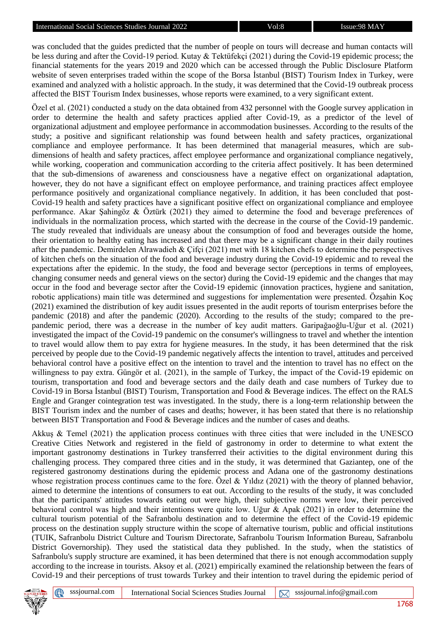was concluded that the guides predicted that the number of people on tours will decrease and human contacts will be less during and after the Covid-19 period. Kutay & Tektüfekçi (2021) during the Covid-19 epidemic process; the financial statements for the years 2019 and 2020 which can be accessed through the Public Disclosure Platform website of seven enterprises traded within the scope of the Borsa İstanbul (BIST) Tourism Index in Turkey, were examined and analyzed with a holistic approach. In the study, it was determined that the Covid-19 outbreak process affected the BIST Tourism Index businesses, whose reports were examined, to a very significant extent.

Özel et al. (2021) conducted a study on the data obtained from 432 personnel with the Google survey application in order to determine the health and safety practices applied after Covid-19, as a predictor of the level of organizational adjustment and employee performance in accommodation businesses. According to the results of the study; a positive and significant relationship was found between health and safety practices, organizational compliance and employee performance. It has been determined that managerial measures, which are subdimensions of health and safety practices, affect employee performance and organizational compliance negatively, while working, cooperation and communication according to the criteria affect positively. It has been determined that the sub-dimensions of awareness and consciousness have a negative effect on organizational adaptation, however, they do not have a significant effect on employee performance, and training practices affect employee performance positively and organizational compliance negatively. In addition, it has been concluded that post-Covid-19 health and safety practices have a significant positive effect on organizational compliance and employee performance. Akar Şahingöz & Öztürk (2021) they aimed to determine the food and beverage preferences of individuals in the normalization process, which started with the decrease in the course of the Covid-19 pandemic. The study revealed that individuals are uneasy about the consumption of food and beverages outside the home, their orientation to healthy eating has increased and that there may be a significant change in their daily routines after the pandemic. Demirdelen Alrawadieh & Çifçi (2021) met with 18 kitchen chefs to determine the perspectives of kitchen chefs on the situation of the food and beverage industry during the Covid-19 epidemic and to reveal the expectations after the epidemic. In the study, the food and beverage sector (perceptions in terms of employees, changing consumer needs and general views on the sector) during the Covid-19 epidemic and the changes that may occur in the food and beverage sector after the Covid-19 epidemic (innovation practices, hygiene and sanitation, robotic applications) main title was determined and suggestions for implementation were presented. Özşahin Koç (2021) examined the distribution of key audit issues presented in the audit reports of tourism enterprises before the pandemic (2018) and after the pandemic (2020). According to the results of the study; compared to the prepandemic period, there was a decrease in the number of key audit matters. Garipağaoğlu-Uğur et al. (2021) investigated the impact of the Covid-19 pandemic on the consumer's willingness to travel and whether the intention to travel would allow them to pay extra for hygiene measures. In the study, it has been determined that the risk perceived by people due to the Covid-19 pandemic negatively affects the intention to travel, attitudes and perceived behavioral control have a positive effect on the intention to travel and the intention to travel has no effect on the willingness to pay extra. Güngör et al. (2021), in the sample of Turkey, the impact of the Covid-19 epidemic on tourism, transportation and food and beverage sectors and the daily death and case numbers of Turkey due to Covid-19 in Borsa İstanbul (BIST) Tourism, Transportation and Food & Beverage indices. The effect on the RALS Engle and Granger cointegration test was investigated. In the study, there is a long-term relationship between the BIST Tourism index and the number of cases and deaths; however, it has been stated that there is no relationship between BIST Transportation and Food & Beverage indices and the number of cases and deaths.

Akkuş & Temel (2021) the application process continues with three cities that were included in the UNESCO Creative Cities Network and registered in the field of gastronomy in order to determine to what extent the important gastronomy destinations in Turkey transferred their activities to the digital environment during this challenging process. They compared three cities and in the study, it was determined that Gaziantep, one of the registered gastronomy destinations during the epidemic process and Adana one of the gastronomy destinations whose registration process continues came to the fore. Özel & Yıldız (2021) with the theory of planned behavior, aimed to determine the intentions of consumers to eat out. According to the results of the study, it was concluded that the participants' attitudes towards eating out were high, their subjective norms were low, their perceived behavioral control was high and their intentions were quite low. Uğur & Apak (2021) in order to determine the cultural tourism potential of the Safranbolu destination and to determine the effect of the Covid-19 epidemic process on the destination supply structure within the scope of alternative tourism, public and official institutions (TUIK, Safranbolu District Culture and Tourism Directorate, Safranbolu Tourism Information Bureau, Safranbolu District Governorship). They used the statistical data they published. In the study, when the statistics of Safranbolu's supply structure are examined, it has been determined that there is not enough accommodation supply according to the increase in tourists. Aksoy et al. (2021) empirically examined the relationship between the fears of Covid-19 and their perceptions of trust towards Turkey and their intention to travel during the epidemic period of

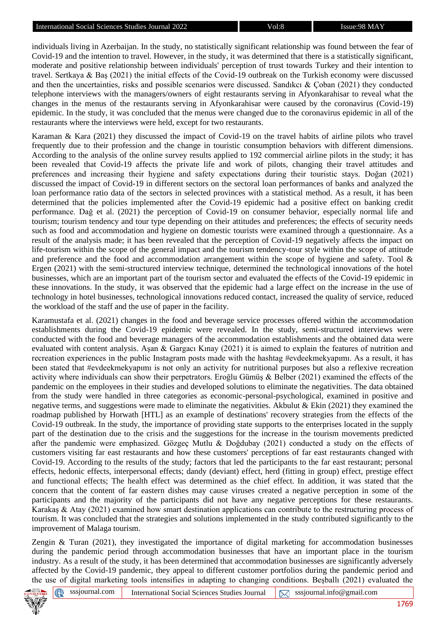individuals living in Azerbaijan. In the study, no statistically significant relationship was found between the fear of Covid-19 and the intention to travel. However, in the study, it was determined that there is a statistically significant, moderate and positive relationship between individuals' perception of trust towards Turkey and their intention to travel. Sertkaya & Baş (2021) the initial effects of the Covid-19 outbreak on the Turkish economy were discussed and then the uncertainties, risks and possible scenarios were discussed. Sandıkcı & Çoban (2021) they conducted telephone interviews with the managers/owners of eight restaurants serving in Afyonkarahisar to reveal what the changes in the menus of the restaurants serving in Afyonkarahisar were caused by the coronavirus (Covid-19) epidemic. In the study, it was concluded that the menus were changed due to the coronavirus epidemic in all of the restaurants where the interviews were held, except for two restaurants.

Karaman & Kara (2021) they discussed the impact of Covid-19 on the travel habits of airline pilots who travel frequently due to their profession and the change in touristic consumption behaviors with different dimensions. According to the analysis of the online survey results applied to 192 commercial airline pilots in the study; it has been revealed that Covid-19 affects the private life and work of pilots, changing their travel attitudes and preferences and increasing their hygiene and safety expectations during their touristic stays. Doğan (2021) discussed the impact of Covid-19 in different sectors on the sectoral loan performances of banks and analyzed the loan performance ratio data of the sectors in selected provinces with a statistical method. As a result, it has been determined that the policies implemented after the Covid-19 epidemic had a positive effect on banking credit performance. Dağ et al. (2021) the perception of Covid-19 on consumer behavior, especially normal life and tourism; tourism tendency and tour type depending on their attitudes and preferences; the effects of security needs such as food and accommodation and hygiene on domestic tourists were examined through a questionnaire. As a result of the analysis made; it has been revealed that the perception of Covid-19 negatively affects the impact on life-tourism within the scope of the general impact and the tourism tendency-tour style within the scope of attitude and preference and the food and accommodation arrangement within the scope of hygiene and safety. Tool & Ergen (2021) with the semi-structured interview technique, determined the technological innovations of the hotel businesses, which are an important part of the tourism sector and evaluated the effects of the Covid-19 epidemic in these innovations. In the study, it was observed that the epidemic had a large effect on the increase in the use of technology in hotel businesses, technological innovations reduced contact, increased the quality of service, reduced the workload of the staff and the use of paper in the facility.

Karamustafa et al. (2021) changes in the food and beverage service processes offered within the accommodation establishments during the Covid-19 epidemic were revealed. In the study, semi-structured interviews were conducted with the food and beverage managers of the accommodation establishments and the obtained data were evaluated with content analysis. Aşan & Gargacı Kınay (2021) it is aimed to explain the features of nutrition and recreation experiences in the public Instagram posts made with the hashtag #evdeekmekyapımı. As a result, it has been stated that #evdeekmekyapımı is not only an activity for nutritional purposes but also a reflexive recreation activity where individuals can show their perpetrators. Eroğlu Gümüş & Belber (2021) examined the effects of the pandemic on the employees in their studies and developed solutions to eliminate the negativities. The data obtained from the study were handled in three categories as economic-personal-psychological, examined in positive and negative terms, and suggestions were made to eliminate the negativities. Akbulut & Ekin (2021) they examined the roadmap published by Horwath [HTL] as an example of destinations' recovery strategies from the effects of the Covid-19 outbreak. In the study, the importance of providing state supports to the enterprises located in the supply part of the destination due to the crisis and the suggestions for the increase in the tourism movements predicted after the pandemic were emphasized. Gözgeç Mutlu & Doğdubay (2021) conducted a study on the effects of customers visiting far east restaurants and how these customers' perceptions of far east restaurants changed with Covid-19. According to the results of the study; factors that led the participants to the far east restaurant; personal effects, hedonic effects, interpersonal effects; dandy (deviant) effect, herd (fitting in group) effect, prestige effect and functional effects; The health effect was determined as the chief effect. In addition, it was stated that the concern that the content of far eastern dishes may cause viruses created a negative perception in some of the participants and the majority of the participants did not have any negative perceptions for these restaurants. Karakaş & Atay (2021) examined how smart destination applications can contribute to the restructuring process of tourism. It was concluded that the strategies and solutions implemented in the study contributed significantly to the improvement of Malaga tourism.

Zengin & Turan (2021), they investigated the importance of digital marketing for accommodation businesses during the pandemic period through accommodation businesses that have an important place in the tourism industry. As a result of the study, it has been determined that accommodation businesses are significantly adversely affected by the Covid-19 pandemic, they appeal to different customer portfolios during the pandemic period and the use of digital marketing tools intensifies in adapting to changing conditions. Beşballı (2021) evaluated the



⊕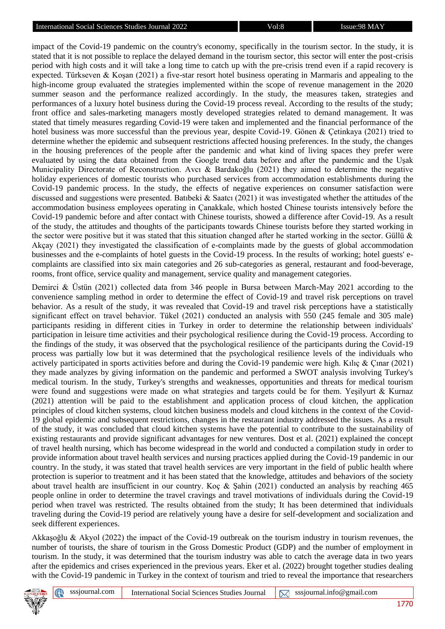impact of the Covid-19 pandemic on the country's economy, specifically in the tourism sector. In the study, it is stated that it is not possible to replace the delayed demand in the tourism sector, this sector will enter the post-crisis period with high costs and it will take a long time to catch up with the pre-crisis trend even if a rapid recovery is expected. Türkseven & Koşan (2021) a five-star resort hotel business operating in Marmaris and appealing to the high-income group evaluated the strategies implemented within the scope of revenue management in the 2020 summer season and the performance realized accordingly. In the study, the measures taken, strategies and performances of a luxury hotel business during the Covid-19 process reveal. According to the results of the study; front office and sales-marketing managers mostly developed strategies related to demand management. It was stated that timely measures regarding Covid-19 were taken and implemented and the financial performance of the hotel business was more successful than the previous year, despite Covid-19. Gönen & Çetinkaya (2021) tried to determine whether the epidemic and subsequent restrictions affected housing preferences. In the study, the changes in the housing preferences of the people after the pandemic and what kind of living spaces they prefer were evaluated by using the data obtained from the Google trend data before and after the pandemic and the Uşak Municipality Directorate of Reconstruction. Avcı & Bardakoğlu (2021) they aimed to determine the negative holiday experiences of domestic tourists who purchased services from accommodation establishments during the Covid-19 pandemic process. In the study, the effects of negative experiences on consumer satisfaction were discussed and suggestions were presented. Batıbeki & Saatcı (2021) it was investigated whether the attitudes of the accommodation business employees operating in Çanakkale, which hosted Chinese tourists intensively before the Covid-19 pandemic before and after contact with Chinese tourists, showed a difference after Covid-19. As a result of the study, the attitudes and thoughts of the participants towards Chinese tourists before they started working in the sector were positive but it was stated that this situation changed after he started working in the sector. Güllü  $\&$ Akçay (2021) they investigated the classification of e-complaints made by the guests of global accommodation businesses and the e-complaints of hotel guests in the Covid-19 process. In the results of working; hotel guests' ecomplaints are classified into six main categories and 26 sub-categories as general, restaurant and food-beverage, rooms, front office, service quality and management, service quality and management categories.

Demirci & Üstün (2021) collected data from 346 people in Bursa between March-May 2021 according to the convenience sampling method in order to determine the effect of Covid-19 and travel risk perceptions on travel behavior. As a result of the study, it was revealed that Covid-19 and travel risk perceptions have a statistically significant effect on travel behavior. Tükel (2021) conducted an analysis with 550 (245 female and 305 male) participants residing in different cities in Turkey in order to determine the relationship between individuals' participation in leisure time activities and their psychological resilience during the Covid-19 process. According to the findings of the study, it was observed that the psychological resilience of the participants during the Covid-19 process was partially low but it was determined that the psychological resilience levels of the individuals who actively participated in sports activities before and during the Covid-19 pandemic were high. Kılıç & Çınar (2021) they made analyzes by giving information on the pandemic and performed a SWOT analysis involving Turkey's medical tourism. In the study, Turkey's strengths and weaknesses, opportunities and threats for medical tourism were found and suggestions were made on what strategies and targets could be for them. Yeşilyurt & Kurnaz (2021) attention will be paid to the establishment and application process of cloud kitchen, the application principles of cloud kitchen systems, cloud kitchen business models and cloud kitchens in the context of the Covid-19 global epidemic and subsequent restrictions, changes in the restaurant industry addressed the issues. As a result of the study, it was concluded that cloud kitchen systems have the potential to contribute to the sustainability of existing restaurants and provide significant advantages for new ventures. Dost et al. (2021) explained the concept of travel health nursing, which has become widespread in the world and conducted a compilation study in order to provide information about travel health services and nursing practices applied during the Covid-19 pandemic in our country. In the study, it was stated that travel health services are very important in the field of public health where protection is superior to treatment and it has been stated that the knowledge, attitudes and behaviors of the society about travel health are insufficient in our country. Koç & Şahin (2021) conducted an analysis by reaching 465 people online in order to determine the travel cravings and travel motivations of individuals during the Covid-19 period when travel was restricted. The results obtained from the study; It has been determined that individuals traveling during the Covid-19 period are relatively young have a desire for self-development and socialization and seek different experiences.

Akkaşoğlu & Akyol (2022) the impact of the Covid-19 outbreak on the tourism industry in tourism revenues, the number of tourists, the share of tourism in the Gross Domestic Product (GDP) and the number of employment in tourism. In the study, it was determined that the tourism industry was able to catch the average data in two years after the epidemics and crises experienced in the previous years. Eker et al. (2022) brought together studies dealing with the Covid-19 pandemic in Turkey in the context of tourism and tried to reveal the importance that researchers

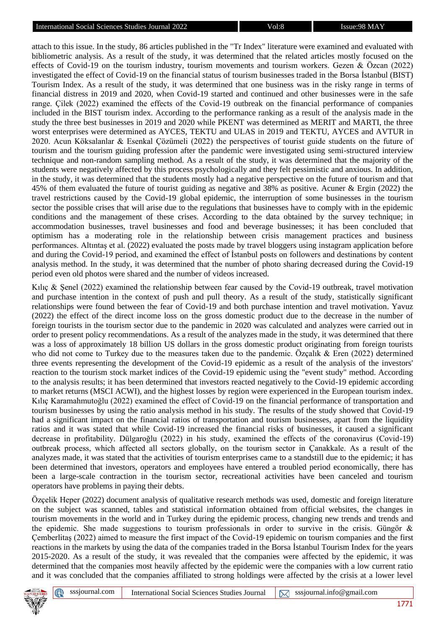attach to this issue. In the study, 86 articles published in the "Tr Index" literature were examined and evaluated with bibliometric analysis. As a result of the study, it was determined that the related articles mostly focused on the effects of Covid-19 on the tourism industry, tourism movements and tourism workers. Gezen & Özcan (2022) investigated the effect of Covid-19 on the financial status of tourism businesses traded in the Borsa İstanbul (BIST) Tourism Index. As a result of the study, it was determined that one business was in the risky range in terms of financial distress in 2019 and 2020, when Covid-19 started and continued and other businesses were in the safe range. Çilek (2022) examined the effects of the Covid-19 outbreak on the financial performance of companies included in the BIST tourism index. According to the performance ranking as a result of the analysis made in the study the three best businesses in 2019 and 2020 while PKENT was determined as MERIT and MARTI, the three worst enterprises were determined as AYCES, TEKTU and ULAS in 2019 and TEKTU, AYCES and AVTUR in 2020. Acun Köksalanlar & Esenkal Çözümeli (2022) the perspectives of tourist guide students on the future of tourism and the tourism guiding profession after the pandemic were investigated using semi-structured interview technique and non-random sampling method. As a result of the study, it was determined that the majority of the students were negatively affected by this process psychologically and they felt pessimistic and anxious. In addition, in the study, it was determined that the students mostly had a negative perspective on the future of tourism and that 45% of them evaluated the future of tourist guiding as negative and 38% as positive. Acuner & Ergin (2022) the travel restrictions caused by the Covid-19 global epidemic, the interruption of some businesses in the tourism sector the possible crises that will arise due to the regulations that businesses have to comply with in the epidemic conditions and the management of these crises. According to the data obtained by the survey technique; in accommodation businesses, travel businesses and food and beverage businesses; it has been concluded that optimism has a moderating role in the relationship between crisis management practices and business performances. Altıntaş et al. (2022) evaluated the posts made by travel bloggers using instagram application before and during the Covid-19 period, and examined the effect of İstanbul posts on followers and destinations by content analysis method. In the study, it was determined that the number of photo sharing decreased during the Covid-19 period even old photos were shared and the number of videos increased.

Kılıç & Şenel (2022) examined the relationship between fear caused by the Covid-19 outbreak, travel motivation and purchase intention in the context of push and pull theory. As a result of the study, statistically significant relationships were found between the fear of Covid-19 and both purchase intention and travel motivation. Yavuz (2022) the effect of the direct income loss on the gross domestic product due to the decrease in the number of foreign tourists in the tourism sector due to the pandemic in 2020 was calculated and analyzes were carried out in order to present policy recommendations. As a result of the analyzes made in the study, it was determined that there was a loss of approximately 18 billion US dollars in the gross domestic product originating from foreign tourists who did not come to Turkey due to the measures taken due to the pandemic. Özçalık & Eren (2022) determined three events representing the development of the Covid-19 epidemic as a result of the analysis of the investors' reaction to the tourism stock market indices of the Covid-19 epidemic using the "event study" method. According to the analysis results; it has been determined that investors reacted negatively to the Covid-19 epidemic according to market returns (MSCI ACWI), and the highest losses by region were experienced in the European tourism index. Kılıç Karamahmutoğlu (2022) examined the effect of Covid-19 on the financial performance of transportation and tourism businesses by using the ratio analysis method in his study. The results of the study showed that Covid-19 had a significant impact on the financial ratios of transportation and tourism businesses, apart from the liquidity ratios and it was stated that while Covid-19 increased the financial risks of businesses, it caused a significant decrease in profitability. Dülgaroğlu (2022) in his study, examined the effects of the coronavirus (Covid-19) outbreak process, which affected all sectors globally, on the tourism sector in Çanakkale. As a result of the analyzes made, it was stated that the activities of tourism enterprises came to a standstill due to the epidemic; it has been determined that investors, operators and employees have entered a troubled period economically, there has been a large-scale contraction in the tourism sector, recreational activities have been canceled and tourism operators have problems in paying their debts.

Özçelik Heper (2022) document analysis of qualitative research methods was used, domestic and foreign literature on the subject was scanned, tables and statistical information obtained from official websites, the changes in tourism movements in the world and in Turkey during the epidemic process, changing new trends and trends and the epidemic. She made suggestions to tourism professionals in order to survive in the crisis. Güngör  $\&$ Çemberlitaş (2022) aimed to measure the first impact of the Covid-19 epidemic on tourism companies and the first reactions in the markets by using the data of the companies traded in the Borsa İstanbul Tourism Index for the years 2015-2020. As a result of the study, it was revealed that the companies were affected by the epidemic, it was determined that the companies most heavily affected by the epidemic were the companies with a low current ratio and it was concluded that the companies affiliated to strong holdings were affected by the crisis at a lower level

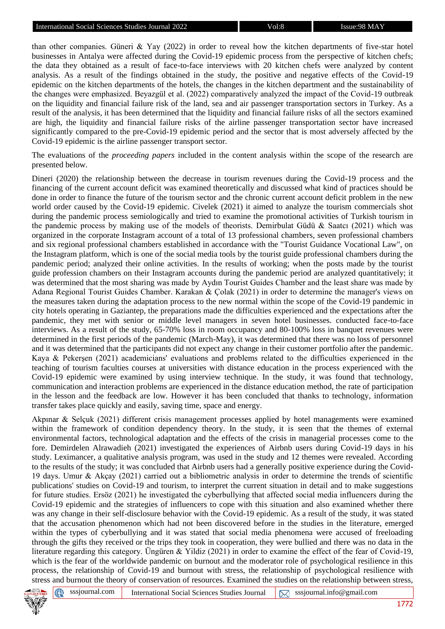than other companies. Güneri & Yay (2022) in order to reveal how the kitchen departments of five-star hotel businesses in Antalya were affected during the Covid-19 epidemic process from the perspective of kitchen chefs; the data they obtained as a result of face-to-face interviews with 20 kitchen chefs were analyzed by content analysis. As a result of the findings obtained in the study, the positive and negative effects of the Covid-19 epidemic on the kitchen departments of the hotels, the changes in the kitchen department and the sustainability of the changes were emphasized. Beyazgül et al. (2022) comparatively analyzed the impact of the Covid-19 outbreak on the liquidity and financial failure risk of the land, sea and air passenger transportation sectors in Turkey. As a result of the analysis, it has been determined that the liquidity and financial failure risks of all the sectors examined are high, the liquidity and financial failure risks of the airline passenger transportation sector have increased significantly compared to the pre-Covid-19 epidemic period and the sector that is most adversely affected by the Covid-19 epidemic is the airline passenger transport sector.

The evaluations of the *proceeding papers* included in the content analysis within the scope of the research are presented below.

Dineri (2020) the relationship between the decrease in tourism revenues during the Covid-19 process and the financing of the current account deficit was examined theoretically and discussed what kind of practices should be done in order to finance the future of the tourism sector and the chronic current account deficit problem in the new world order caused by the Covid-19 epidemic. Civelek (2021) it aimed to analyze the tourism commercials shot during the pandemic process semiologically and tried to examine the promotional activities of Turkish tourism in the pandemic process by making use of the models of theorists. Demirbulat Güdü & Saatcı (2021) which was organized in the corporate Instagram account of a total of 13 professional chambers, seven professional chambers and six regional professional chambers established in accordance with the "Tourist Guidance Vocational Law", on the Instagram platform, which is one of the social media tools by the tourist guide professional chambers during the pandemic period; analyzed their online activities. In the results of working; when the posts made by the tourist guide profession chambers on their Instagram accounts during the pandemic period are analyzed quantitatively; it was determined that the most sharing was made by Aydın Tourist Guides Chamber and the least share was made by Adana Regional Tourist Guides Chamber. Karakan & Çolak (2021) in order to determine the manager's views on the measures taken during the adaptation process to the new normal within the scope of the Covid-19 pandemic in city hotels operating in Gaziantep, the preparations made the difficulties experienced and the expectations after the pandemic, they met with senior or middle level managers in seven hotel businesses. conducted face-to-face interviews. As a result of the study, 65-70% loss in room occupancy and 80-100% loss in banquet revenues were determined in the first periods of the pandemic (March-May), it was determined that there was no loss of personnel and it was determined that the participants did not expect any change in their customer portfolio after the pandemic. Kaya & Pekerşen (2021) academicians' evaluations and problems related to the difficulties experienced in the teaching of tourism faculties courses at universities with distance education in the process experienced with the Covid-19 epidemic were examined by using interview technique. In the study, it was found that technology, communication and interaction problems are experienced in the distance education method, the rate of participation in the lesson and the feedback are low. However it has been concluded that thanks to technology, information transfer takes place quickly and easily, saving time, space and energy.

Akpınar & Selçuk (2021) different crisis management processes applied by hotel managements were examined within the framework of condition dependency theory. In the study, it is seen that the themes of external environmental factors, technological adaptation and the effects of the crisis in managerial processes come to the fore. Demirdelen Alrawadieh (2021) investigated the experiences of Airbnb users during Covid-19 days in his study. Leximancer, a qualitative analysis program, was used in the study and 12 themes were revealed. According to the results of the study; it was concluded that Airbnb users had a generally positive experience during the Covid-19 days. Umur & Akçay (2021) carried out a bibliometric analysis in order to determine the trends of scientific publications' studies on Covid-19 and tourism, to interpret the current situation in detail and to make suggestions for future studies. Ersöz (2021) he investigated the cyberbullying that affected social media influencers during the Covid-19 epidemic and the strategies of influencers to cope with this situation and also examined whether there was any change in their self-disclosure behavior with the Covid-19 epidemic. As a result of the study, it was stated that the accusation phenomenon which had not been discovered before in the studies in the literature, emerged within the types of cyberbullying and it was stated that social media phenomena were accused of freeloading through the gifts they received or the trips they took in cooperation, they were bullied and there was no data in the literature regarding this category. Üngüren & Yildiz (2021) in order to examine the effect of the fear of Covid-19, which is the fear of the worldwide pandemic on burnout and the moderator role of psychological resilience in this process, the relationship of Covid-19 and burnout with stress, the relationship of psychological resilience with stress and burnout the theory of conservation of resources. Examined the studies on the relationship between stress,



**et**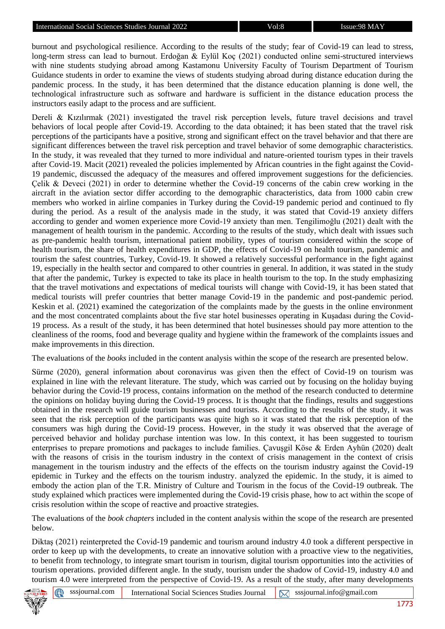burnout and psychological resilience. According to the results of the study; fear of Covid-19 can lead to stress, long-term stress can lead to burnout. Erdoğan & Eylül Koç (2021) conducted online semi-structured interviews with nine students studying abroad among Kastamonu University Faculty of Tourism Department of Tourism Guidance students in order to examine the views of students studying abroad during distance education during the pandemic process. In the study, it has been determined that the distance education planning is done well, the technological infrastructure such as software and hardware is sufficient in the distance education process the instructors easily adapt to the process and are sufficient.

Dereli & Kızılırmak (2021) investigated the travel risk perception levels, future travel decisions and travel behaviors of local people after Covid-19. According to the data obtained; it has been stated that the travel risk perceptions of the participants have a positive, strong and significant effect on the travel behavior and that there are significant differences between the travel risk perception and travel behavior of some demographic characteristics. In the study, it was revealed that they turned to more individual and nature-oriented tourism types in their travels after Covid-19. Macit (2021) revealed the policies implemented by African countries in the fight against the Covid-19 pandemic, discussed the adequacy of the measures and offered improvement suggestions for the deficiencies. Çelik & Deveci (2021) in order to determine whether the Covid-19 concerns of the cabin crew working in the aircraft in the aviation sector differ according to the demographic characteristics, data from 1000 cabin crew members who worked in airline companies in Turkey during the Covid-19 pandemic period and continued to fly during the period. As a result of the analysis made in the study, it was stated that Covid-19 anxiety differs according to gender and women experience more Covid-19 anxiety than men. Tengilimoğlu (2021) dealt with the management of health tourism in the pandemic. According to the results of the study, which dealt with issues such as pre-pandemic health tourism, international patient mobility, types of tourism considered within the scope of health tourism, the share of health expenditures in GDP, the effects of Covid-19 on health tourism, pandemic and tourism the safest countries, Turkey, Covid-19. It showed a relatively successful performance in the fight against 19, especially in the health sector and compared to other countries in general. In addition, it was stated in the study that after the pandemic, Turkey is expected to take its place in health tourism to the top. In the study emphasizing that the travel motivations and expectations of medical tourists will change with Covid-19, it has been stated that medical tourists will prefer countries that better manage Covid-19 in the pandemic and post-pandemic period. Keskin et al. (2021) examined the categorization of the complaints made by the guests in the online environment and the most concentrated complaints about the five star hotel businesses operating in Kuşadası during the Covid-19 process. As a result of the study, it has been determined that hotel businesses should pay more attention to the cleanliness of the rooms, food and beverage quality and hygiene within the framework of the complaints issues and make improvements in this direction.

The evaluations of the *books* included in the content analysis within the scope of the research are presented below.

Sürme (2020), general information about coronavirus was given then the effect of Covid-19 on tourism was explained in line with the relevant literature. The study, which was carried out by focusing on the holiday buying behavior during the Covid-19 process, contains information on the method of the research conducted to determine the opinions on holiday buying during the Covid-19 process. It is thought that the findings, results and suggestions obtained in the research will guide tourism businesses and tourists. According to the results of the study, it was seen that the risk perception of the participants was quite high so it was stated that the risk perception of the consumers was high during the Covid-19 process. However, in the study it was observed that the average of perceived behavior and holiday purchase intention was low. In this context, it has been suggested to tourism enterprises to prepare promotions and packages to include families. Çavuşgil Köse & Erden Ayhün (2020) dealt with the reasons of crisis in the tourism industry in the context of crisis management in the context of crisis management in the tourism industry and the effects of the effects on the tourism industry against the Covid-19 epidemic in Turkey and the effects on the tourism industry. analyzed the epidemic. In the study, it is aimed to embody the action plan of the T.R. Ministry of Culture and Tourism in the focus of the Covid-19 outbreak. The study explained which practices were implemented during the Covid-19 crisis phase, how to act within the scope of crisis resolution within the scope of reactive and proactive strategies.

The evaluations of the *book chapters* included in the content analysis within the scope of the research are presented below.

Diktas (2021) reinterpreted the Covid-19 pandemic and tourism around industry 4.0 took a different perspective in order to keep up with the developments, to create an innovative solution with a proactive view to the negativities, to benefit from technology, to integrate smart tourism in tourism, digital tourism opportunities into the activities of tourism operations. provided different angle. In the study, tourism under the shadow of Covid-19, industry 4.0 and tourism 4.0 were interpreted from the perspective of Covid-19. As a result of the study, after many developments

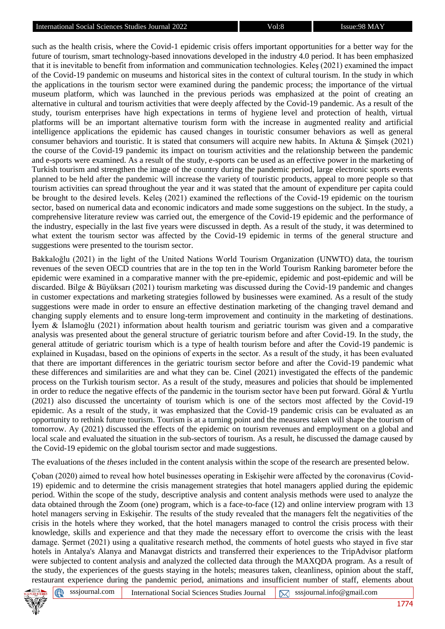such as the health crisis, where the Covid-1 epidemic crisis offers important opportunities for a better way for the future of tourism, smart technology-based innovations developed in the industry 4.0 period. It has been emphasized that it is inevitable to benefit from information and communication technologies. Keleş (2021) examined the impact of the Covid-19 pandemic on museums and historical sites in the context of cultural tourism. In the study in which the applications in the tourism sector were examined during the pandemic process; the importance of the virtual museum platform, which was launched in the previous periods was emphasized at the point of creating an alternative in cultural and tourism activities that were deeply affected by the Covid-19 pandemic. As a result of the study, tourism enterprises have high expectations in terms of hygiene level and protection of health, virtual platforms will be an important alternative tourism form with the increase in augmented reality and artificial intelligence applications the epidemic has caused changes in touristic consumer behaviors as well as general consumer behaviors and touristic. It is stated that consumers will acquire new habits. In Aktuna & Şimşek (2021) the course of the Covid-19 pandemic its impact on tourism activities and the relationship between the pandemic and e-sports were examined. As a result of the study, e-sports can be used as an effective power in the marketing of Turkish tourism and strengthen the image of the country during the pandemic period, large electronic sports events planned to be held after the pandemic will increase the variety of touristic products, appeal to more people so that tourism activities can spread throughout the year and it was stated that the amount of expenditure per capita could be brought to the desired levels. Keleş (2021) examined the reflections of the Covid-19 epidemic on the tourism sector, based on numerical data and economic indicators and made some suggestions on the subject. In the study, a comprehensive literature review was carried out, the emergence of the Covid-19 epidemic and the performance of the industry, especially in the last five years were discussed in depth. As a result of the study, it was determined to what extent the tourism sector was affected by the Covid-19 epidemic in terms of the general structure and suggestions were presented to the tourism sector.

Bakkaloğlu (2021) in the light of the United Nations World Tourism Organization (UNWTO) data, the tourism revenues of the seven OECD countries that are in the top ten in the World Tourism Ranking barometer before the epidemic were examined in a comparative manner with the pre-epidemic, epidemic and post-epidemic and will be discarded. Bilge & Büyüksarı (2021) tourism marketing was discussed during the Covid-19 pandemic and changes in customer expectations and marketing strategies followed by businesses were examined. As a result of the study suggestions were made in order to ensure an effective destination marketing of the changing travel demand and changing supply elements and to ensure long-term improvement and continuity in the marketing of destinations. İyem & İslamoğlu (2021) information about health tourism and geriatric tourism was given and a comparative analysis was presented about the general structure of geriatric tourism before and after Covid-19. In the study, the general attitude of geriatric tourism which is a type of health tourism before and after the Covid-19 pandemic is explained in Kuşadası, based on the opinions of experts in the sector. As a result of the study, it has been evaluated that there are important differences in the geriatric tourism sector before and after the Covid-19 pandemic what these differences and similarities are and what they can be. Cinel (2021) investigated the effects of the pandemic process on the Turkish tourism sector. As a result of the study, measures and policies that should be implemented in order to reduce the negative effects of the pandemic in the tourism sector have been put forward. Göral & Yurtlu (2021) also discussed the uncertainty of tourism which is one of the sectors most affected by the Covid-19 epidemic. As a result of the study, it was emphasized that the Covid-19 pandemic crisis can be evaluated as an opportunity to rethink future tourism. Tourism is at a turning point and the measures taken will shape the tourism of tomorrow. Ay (2021) discussed the effects of the epidemic on tourism revenues and employment on a global and local scale and evaluated the situation in the sub-sectors of tourism. As a result, he discussed the damage caused by the Covid-19 epidemic on the global tourism sector and made suggestions.

The evaluations of the *theses* included in the content analysis within the scope of the research are presented below.

Çoban (2020) aimed to reveal how hotel businesses operating in Eskişehir were affected by the coronavirus (Covid-19) epidemic and to determine the crisis management strategies that hotel managers applied during the epidemic period. Within the scope of the study, descriptive analysis and content analysis methods were used to analyze the data obtained through the Zoom (one) program, which is a face-to-face (12) and online interview program with 13 hotel managers serving in Eskişehir. The results of the study revealed that the managers felt the negativities of the crisis in the hotels where they worked, that the hotel managers managed to control the crisis process with their knowledge, skills and experience and that they made the necessary effort to overcome the crisis with the least damage. Şermet (2021) using a qualitative research method, the comments of hotel guests who stayed in five star hotels in Antalya's Alanya and Manavgat districts and transferred their experiences to the TripAdvisor platform were subjected to content analysis and analyzed the collected data through the MAXQDA program. As a result of the study, the experiences of the guests staying in the hotels; measures taken, cleanliness, opinion about the staff, restaurant experience during the pandemic period, animations and insufficient number of staff, elements about



⊕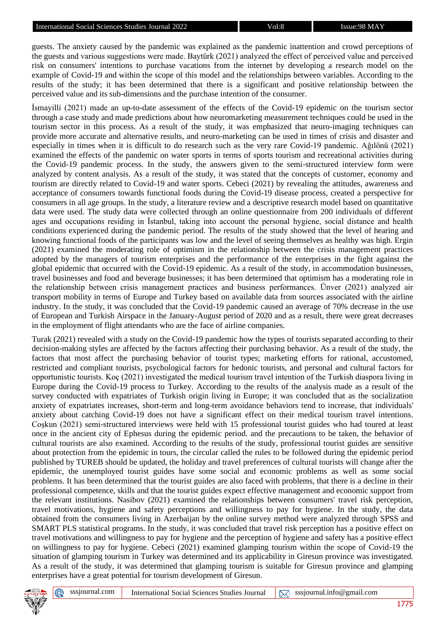guests. The anxiety caused by the pandemic was explained as the pandemic inattention and crowd perceptions of the guests and various suggestions were made. Baytürk (2021) analyzed the effect of perceived value and perceived risk on consumers' intentions to purchase vacations from the internet by developing a research model on the example of Covid-19 and within the scope of this model and the relationships between variables. According to the results of the study; it has been determined that there is a significant and positive relationship between the perceived value and its sub-dimensions and the purchase intention of the consumer.

İsmayilli (2021) made an up-to-date assessment of the effects of the Covid-19 epidemic on the tourism sector through a case study and made predictions about how neuromarketing measurement techniques could be used in the tourism sector in this process. As a result of the study, it was emphasized that neuro-imaging techniques can provide more accurate and alternative results, and neuro-marketing can be used in times of crisis and disaster and especially in times when it is difficult to do research such as the very rare Covid-19 pandemic. Ağılönü (2021) examined the effects of the pandemic on water sports in terms of sports tourism and recreational activities during the Covid-19 pandemic process. In the study, the answers given to the semi-structured interview form were analyzed by content analysis. As a result of the study, it was stated that the concepts of customer, economy and tourism are directly related to Covid-19 and water sports. Cebeci (2021) by revealing the attitudes, awareness and acceptance of consumers towards functional foods during the Covid-19 disease process, created a perspective for consumers in all age groups. In the study, a literature review and a descriptive research model based on quantitative data were used. The study data were collected through an online questionnaire from 200 individuals of different ages and occupations residing in İstanbul, taking into account the personal hygiene, social distance and health conditions experienced during the pandemic period. The results of the study showed that the level of hearing and knowing functional foods of the participants was low and the level of seeing themselves as healthy was high. Ergin (2021) examined the moderating role of optimism in the relationship between the crisis management practices adopted by the managers of tourism enterprises and the performance of the enterprises in the fight against the global epidemic that occurred with the Covid-19 epidemic. As a result of the study, in accommodation businesses, travel businesses and food and beverage businesses; it has been determined that optimism has a moderating role in the relationship between crisis management practices and business performances. Ünver (2021) analyzed air transport mobility in terms of Europe and Turkey based on available data from sources associated with the airline industry. In the study, it was concluded that the Covid-19 pandemic caused an average of 70% decrease in the use of European and Turkish Airspace in the January-August period of 2020 and as a result, there were great decreases in the employment of flight attendants who are the face of airline companies.

Turak (2021) revealed with a study on the Covid-19 pandemic how the types of tourists separated according to their decision-making styles are affected by the factors affecting their purchasing behavior. As a result of the study, the factors that most affect the purchasing behavior of tourist types; marketing efforts for rational, accustomed, restricted and compliant tourists, psychological factors for hedonic tourists, and personal and cultural factors for opportunistic tourists. Koç (2021) investigated the medical tourism travel intention of the Turkish diaspora living in Europe during the Covid-19 process to Turkey. According to the results of the analysis made as a result of the survey conducted with expatriates of Turkish origin living in Europe; it was concluded that as the socialization anxiety of expatriates increases, short-term and long-term avoidance behaviors tend to increase, that individuals' anxiety about catching Covid-19 does not have a significant effect on their medical tourism travel intentions. Coşkun (2021) semi-structured interviews were held with 15 professional tourist guides who had toured at least once in the ancient city of Ephesus during the epidemic period. and the precautions to be taken, the behavior of cultural tourists are also examined. According to the results of the study, professional tourist guides are sensitive about protection from the epidemic in tours, the circular called the rules to be followed during the epidemic period published by TUREB should be updated, the holiday and travel preferences of cultural tourists will change after the epidemic, the unemployed tourist guides have some social and economic problems as well as some social problems. It has been determined that the tourist guides are also faced with problems, that there is a decline in their professional competence, skills and that the tourist guides expect effective management and economic support from the relevant institutions. Nasibov (2021) examined the relationships between consumers' travel risk perception, travel motivations, hygiene and safety perceptions and willingness to pay for hygiene. In the study, the data obtained from the consumers living in Azerbaijan by the online survey method were analyzed through SPSS and SMART PLS statistical programs. In the study, it was concluded that travel risk perception has a positive effect on travel motivations and willingness to pay for hygiene and the perception of hygiene and safety has a positive effect on willingness to pay for hygiene. Cebeci (2021) examined glamping tourism within the scope of Covid-19 the situation of glamping tourism in Turkey was determined and its applicability in Giresun province was investigated. As a result of the study, it was determined that glamping tourism is suitable for Giresun province and glamping enterprises have a great potential for tourism development of Giresun.

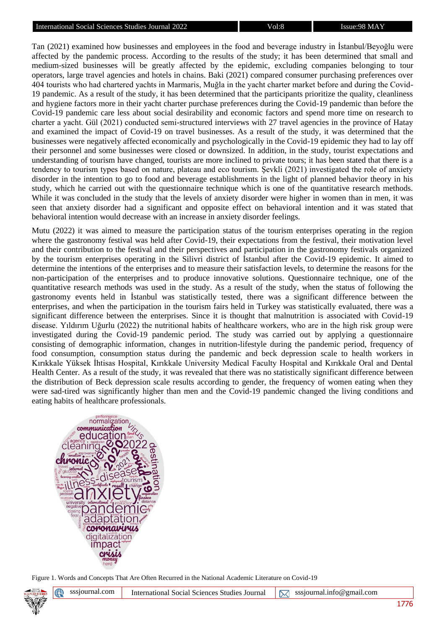Tan (2021) examined how businesses and employees in the food and beverage industry in İstanbul/Beyoğlu were affected by the pandemic process. According to the results of the study; it has been determined that small and medium-sized businesses will be greatly affected by the epidemic, excluding companies belonging to tour operators, large travel agencies and hotels in chains. Baki (2021) compared consumer purchasing preferences over 404 tourists who had chartered yachts in Marmaris, Muğla in the yacht charter market before and during the Covid-19 pandemic. As a result of the study, it has been determined that the participants prioritize the quality, cleanliness and hygiene factors more in their yacht charter purchase preferences during the Covid-19 pandemic than before the Covid-19 pandemic care less about social desirability and economic factors and spend more time on research to charter a yacht. Gül (2021) conducted semi-structured interviews with 27 travel agencies in the province of Hatay and examined the impact of Covid-19 on travel businesses. As a result of the study, it was determined that the businesses were negatively affected economically and psychologically in the Covid-19 epidemic they had to lay off their personnel and some businesses were closed or downsized. In addition, in the study, tourist expectations and understanding of tourism have changed, tourists are more inclined to private tours; it has been stated that there is a tendency to tourism types based on nature, plateau and eco tourism. Şevkli (2021) investigated the role of anxiety disorder in the intention to go to food and beverage establishments in the light of planned behavior theory in his study, which he carried out with the questionnaire technique which is one of the quantitative research methods. While it was concluded in the study that the levels of anxiety disorder were higher in women than in men, it was seen that anxiety disorder had a significant and opposite effect on behavioral intention and it was stated that behavioral intention would decrease with an increase in anxiety disorder feelings.

Mutu (2022) it was aimed to measure the participation status of the tourism enterprises operating in the region where the gastronomy festival was held after Covid-19, their expectations from the festival, their motivation level and their contribution to the festival and their perspectives and participation in the gastronomy festivals organized by the tourism enterprises operating in the Silivri district of İstanbul after the Covid-19 epidemic. It aimed to determine the intentions of the enterprises and to measure their satisfaction levels, to determine the reasons for the non-participation of the enterprises and to produce innovative solutions. Questionnaire technique, one of the quantitative research methods was used in the study. As a result of the study, when the status of following the gastronomy events held in İstanbul was statistically tested, there was a significant difference between the enterprises, and when the participation in the tourism fairs held in Turkey was statistically evaluated, there was a significant difference between the enterprises. Since it is thought that malnutrition is associated with Covid-19 disease. Yıldırım Uğurlu (2022) the nutritional habits of healthcare workers, who are in the high risk group were investigated during the Covid-19 pandemic period. The study was carried out by applying a questionnaire consisting of demographic information, changes in nutrition-lifestyle during the pandemic period, frequency of food consumption, consumption status during the pandemic and beck depression scale to health workers in Kırıkkale Yüksek İhtisas Hospital, Kırıkkale University Medical Faculty Hospital and Kırıkkale Oral and Dental Health Center. As a result of the study, it was revealed that there was no statistically significant difference between the distribution of Beck depression scale results according to gender, the frequency of women eating when they were sad-tired was significantly higher than men and the Covid-19 pandemic changed the living conditions and eating habits of healthcare professionals.



Figure 1. Words and Concepts That Are Often Recurred in the National Academic Literature on Covid-19

sssjournal.com International Social Sciences Studies Journal  $\sqrt{\times}$  [sssjournal.info@gmail.com](mailto:sssjournal.info@gmail.com)

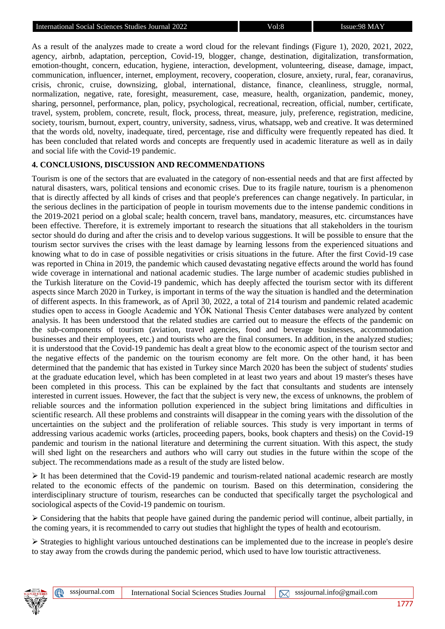As a result of the analyzes made to create a word cloud for the relevant findings (Figure 1), 2020, 2021, 2022, agency, airbnb, adaptation, perception, Covid-19, blogger, change, destination, digitalization, transformation, emotion-thought, concern, education, hygiene, interaction, development, volunteering, disease, damage, impact, communication, influencer, internet, employment, recovery, cooperation, closure, anxiety, rural, fear, coranavirus, crisis, chronic, cruise, downsizing, global, international, distance, finance, cleanliness, struggle, normal, normalization, negative, rate, foresight, measurement, case, measure, health, organization, pandemic, money, sharing, personnel, performance, plan, policy, psychological, recreational, recreation, official, number, certificate, travel, system, problem, concrete, result, flock, process, threat, measure, july, preference, registration, medicine, society, tourism, burnout, expert, country, university, sadness, virus, whatsapp, web and creative. It was determined that the words old, novelty, inadequate, tired, percentage, rise and difficulty were frequently repeated has died. It has been concluded that related words and concepts are frequently used in academic literature as well as in daily and social life with the Covid-19 pandemic.

## **4. CONCLUSIONS, DISCUSSION AND RECOMMENDATIONS**

Tourism is one of the sectors that are evaluated in the category of non-essential needs and that are first affected by natural disasters, wars, political tensions and economic crises. Due to its fragile nature, tourism is a phenomenon that is directly affected by all kinds of crises and that people's preferences can change negatively. In particular, in the serious declines in the participation of people in tourism movements due to the intense pandemic conditions in the 2019-2021 period on a global scale; health concern, travel bans, mandatory, measures, etc. circumstances have been effective. Therefore, it is extremely important to research the situations that all stakeholders in the tourism sector should do during and after the crisis and to develop various suggestions. It will be possible to ensure that the tourism sector survives the crises with the least damage by learning lessons from the experienced situations and knowing what to do in case of possible negativities or crisis situations in the future. After the first Covid-19 case was reported in China in 2019, the pandemic which caused devastating negative effects around the world has found wide coverage in international and national academic studies. The large number of academic studies published in the Turkish literature on the Covid-19 pandemic, which has deeply affected the tourism sector with its different aspects since March 2020 in Turkey, is important in terms of the way the situation is handled and the determination of different aspects. In this framework, as of April 30, 2022, a total of 214 tourism and pandemic related academic studies open to access in Google Academic and YÖK National Thesis Center databases were analyzed by content analysis. It has been understood that the related studies are carried out to measure the effects of the pandemic on the sub-components of tourism (aviation, travel agencies, food and beverage businesses, accommodation businesses and their employees, etc.) and tourists who are the final consumers. In addition, in the analyzed studies; it is understood that the Covid-19 pandemic has dealt a great blow to the economic aspect of the tourism sector and the negative effects of the pandemic on the tourism economy are felt more. On the other hand, it has been determined that the pandemic that has existed in Turkey since March 2020 has been the subject of students' studies at the graduate education level, which has been completed in at least two years and about 19 master's theses have been completed in this process. This can be explained by the fact that consultants and students are intensely interested in current issues. However, the fact that the subject is very new, the excess of unknowns, the problem of reliable sources and the information pollution experienced in the subject bring limitations and difficulties in scientific research. All these problems and constraints will disappear in the coming years with the dissolution of the uncertainties on the subject and the proliferation of reliable sources. This study is very important in terms of addressing various academic works (articles, proceeding papers, books, book chapters and thesis) on the Covid-19 pandemic and tourism in the national literature and determining the current situation. With this aspect, the study will shed light on the researchers and authors who will carry out studies in the future within the scope of the subject. The recommendations made as a result of the study are listed below.

➢ It has been determined that the Covid-19 pandemic and tourism-related national academic research are mostly related to the economic effects of the pandemic on tourism. Based on this determination, considering the interdisciplinary structure of tourism, researches can be conducted that specifically target the psychological and sociological aspects of the Covid-19 pandemic on tourism.

➢ Considering that the habits that people have gained during the pandemic period will continue, albeit partially, in the coming years, it is recommended to carry out studies that highlight the types of health and ecotourism.

➢ Strategies to highlight various untouched destinations can be implemented due to the increase in people's desire to stay away from the crowds during the pandemic period, which used to have low touristic attractiveness.

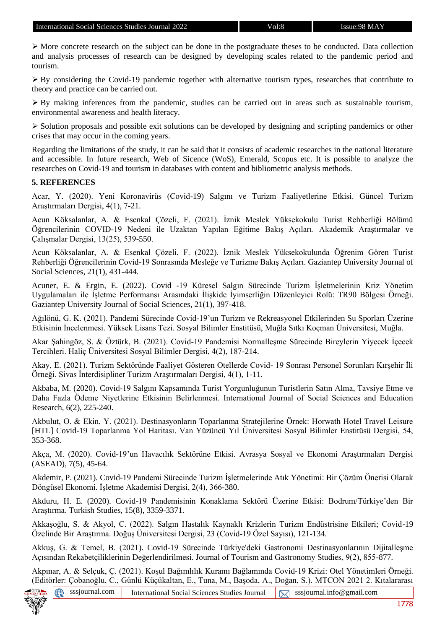➢ More concrete research on the subject can be done in the postgraduate theses to be conducted. Data collection and analysis processes of research can be designed by developing scales related to the pandemic period and tourism.

 $\triangleright$  By considering the Covid-19 pandemic together with alternative tourism types, researches that contribute to theory and practice can be carried out.

➢ By making inferences from the pandemic, studies can be carried out in areas such as sustainable tourism, environmental awareness and health literacy.

➢ Solution proposals and possible exit solutions can be developed by designing and scripting pandemics or other crises that may occur in the coming years.

Regarding the limitations of the study, it can be said that it consists of academic researches in the national literature and accessible. In future research, Web of Sicence (WoS), Emerald, Scopus etc. It is possible to analyze the researches on Covid-19 and tourism in databases with content and bibliometric analysis methods.

#### **5. REFERENCES**

Acar, Y. (2020). Yeni Koronavirüs (Covid-19) Salgını ve Turizm Faaliyetlerine Etkisi. Güncel Turizm Araştırmaları Dergisi, 4(1), 7-21.

Acun Köksalanlar, A. & Esenkal Çözeli, F. (2021). İznik Meslek Yüksekokulu Turist Rehberliği Bölümü Öğrencilerinin COVID-19 Nedeni ile Uzaktan Yapılan Eğitime Bakış Açıları. Akademik Araştırmalar ve Çalışmalar Dergisi, 13(25), 539-550.

Acun Köksalanlar, A. & Esenkal Çözeli, F. (2022). İznik Meslek Yüksekokulunda Öğrenim Gören Turist Rehberliği Öğrencilerinin Covid-19 Sonrasında Mesleğe ve Turizme Bakış Açıları. Gaziantep University Journal of Social Sciences, 21(1), 431-444.

Acuner, E. & Ergin, E. (2022). Covid -19 Küresel Salgın Sürecinde Turizm İşletmelerinin Kriz Yönetim Uygulamaları ile İşletme Performansı Arasındaki İlişkide İyimserliğin Düzenleyici Rolü: TR90 Bölgesi Örneği. Gaziantep University Journal of Social Sciences, 21(1), 397-418.

Ağılönü, G. K. (2021). Pandemi Sürecinde Covid-19'un Turizm ve Rekreasyonel Etkilerinden Su Sporları Üzerine Etkisinin İncelenmesi. Yüksek Lisans Tezi. Sosyal Bilimler Enstitüsü, Muğla Sıtkı Koçman Üniversitesi, Muğla.

Akar Şahingöz, S. & Öztürk, B. (2021). Covid-19 Pandemisi Normalleşme Sürecinde Bireylerin Yiyecek İçecek Tercihleri. Haliç Üniversitesi Sosyal Bilimler Dergisi, 4(2), 187-214.

Akay, E. (2021). Turizm Sektöründe Faaliyet Gösteren Otellerde Covid- 19 Sonrası Personel Sorunları Kırşehir İli Örneği. Sivas İnterdisipliner Turizm Araştırmaları Dergisi, 4(1), 1-11.

Akbaba, M. (2020). Covid-19 Salgını Kapsamında Turist Yorgunluğunun Turistlerin Satın Alma, Tavsiye Etme ve Daha Fazla Ödeme Niyetlerine Etkisinin Belirlenmesi. International Journal of Social Sciences and Education Research, 6(2), 225-240.

Akbulut, O. & Ekin, Y. (2021). Destinasyonların Toparlanma Stratejilerine Örnek: Horwath Hotel Travel Leisure [HTL] Covid-19 Toparlanma Yol Haritası. Van Yüzüncü Yıl Üniversitesi Sosyal Bilimler Enstitüsü Dergisi, 54, 353-368.

Akça, M. (2020). Covid-19'un Havacılık Sektörüne Etkisi. Avrasya Sosyal ve Ekonomi Araştırmaları Dergisi (ASEAD), 7(5), 45-64.

Akdemir, P. (2021). Covid-19 Pandemi Sürecinde Turizm İşletmelerinde Atık Yönetimi: Bir Çözüm Önerisi Olarak Döngüsel Ekonomi. İşletme Akademisi Dergisi, 2(4), 366-380.

Akduru, H. E. (2020). Covid-19 Pandemisinin Konaklama Sektörü Üzerine Etkisi: Bodrum/Türkiye'den Bir Araştırma. Turkish Studies, 15(8), 3359-3371.

Akkaşoğlu, S. & Akyol, C. (2022). Salgın Hastalık Kaynaklı Krizlerin Turizm Endüstrisine Etkileri; Covid-19 Özelinde Bir Araştırma. Doğuş Üniversitesi Dergisi, 23 (Covid-19 Özel Sayısı), 121-134.

Akkuş, G. & Temel, B. (2021). Covid-19 Sürecinde Türkiye'deki Gastronomi Destinasyonlarının Dijitalleşme Açısından Rekabetçiliklerinin Değerlendirilmesi. Journal of Tourism and Gastronomy Studies, 9(2), 855-877.

Akpınar, A. & Selçuk, Ç. (2021). Koşul Bağımlılık Kuramı Bağlamında Covid-19 Krizi: Otel Yönetimleri Örneği. (Editörler: Çobanoğlu, C., Günlü Küçükaltan, E., Tuna, M., Başoda, A., Doğan, S.). MTCON 2021 2. Kıtalararası

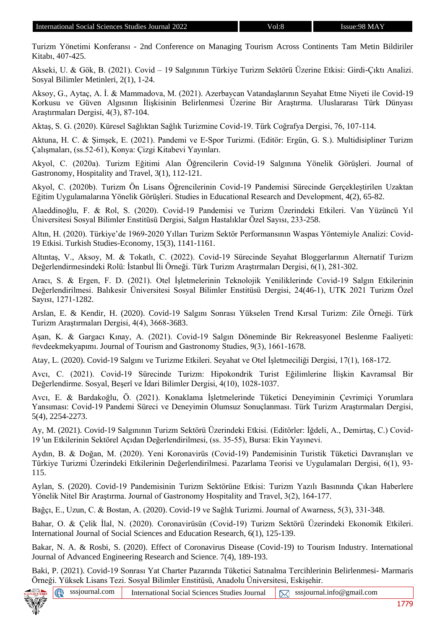Turizm Yönetimi Konferansı - 2nd Conference on Managing Tourism Across Continents Tam Metin Bildiriler Kitabı, 407-425.

Akseki, U. & Gök, B. (2021). Covid – 19 Salgınının Türkiye Turizm Sektörü Üzerine Etkisi: Girdi-Çıktı Analizi. Sosyal Bilimler Metinleri, 2(1), 1-24.

Aksoy, G., Aytaç, A. İ. & Mammadova, M. (2021). Azerbaycan Vatandaşlarının Seyahat Etme Niyeti ile Covid-19 Korkusu ve Güven Algısının İlişkisinin Belirlenmesi Üzerine Bir Araştırma. Uluslararası Türk Dünyası Araştırmaları Dergisi, 4(3), 87-104.

Aktaş, S. G. (2020). Küresel Sağlıktan Sağlık Turizmine Covid-19. Türk Coğrafya Dergisi, 76, 107-114.

Aktuna, H. C. & Şimşek, E. (2021). Pandemi ve E-Spor Turizmi. (Editör: Ergün, G. S.). Multidisipliner Turizm Çalışmaları, (ss.52-61), Konya: Çizgi Kitabevi Yayınları.

Akyol, C. (2020a). Turizm Eğitimi Alan Öğrencilerin Covid-19 Salgınına Yönelik Görüşleri. Journal of Gastronomy, Hospitality and Travel, 3(1), 112-121.

Akyol, C. (2020b). Turizm Ön Lisans Öğrencilerinin Covid-19 Pandemisi Sürecinde Gerçekleştirilen Uzaktan Eğitim Uygulamalarına Yönelik Görüşleri. Studies in Educational Research and Development, 4(2), 65-82.

Alaeddinoğlu, F. & Rol, S. (2020). Covid-19 Pandemisi ve Turizm Üzerindeki Etkileri. Van Yüzüncü Yıl Üniversitesi Sosyal Bilimler Enstitüsü Dergisi, Salgın Hastalıklar Özel Sayısı, 233-258.

Altın, H. (2020). Türkiye'de 1969-2020 Yılları Turizm Sektör Performansının Waspas Yöntemiyle Analizi: Covid-19 Etkisi. Turkish Studies-Economy, 15(3), 1141-1161.

Altıntaş, V., Aksoy, M. & Tokatlı, C. (2022). Covid-19 Sürecinde Seyahat Bloggerlarının Alternatif Turizm Değerlendirmesindeki Rolü: İstanbul İli Örneği. Türk Turizm Araştırmaları Dergisi, 6(1), 281-302.

Aracı, S. & Ergen, F. D. (2021). Otel İşletmelerinin Teknolojik Yeniliklerinde Covid-19 Salgın Etkilerinin Değerlendirilmesi. Balıkesir Üniversitesi Sosyal Bilimler Enstitüsü Dergisi, 24(46-1), UTK 2021 Turizm Özel Sayısı, 1271-1282.

Arslan, E. & Kendir, H. (2020). Covid-19 Salgını Sonrası Yükselen Trend Kırsal Turizm: Zile Örneği. Türk Turizm Araştırmaları Dergisi, 4(4), 3668-3683.

Aşan, K. & Gargacı Kınay, A. (2021). Covid-19 Salgın Döneminde Bir Rekreasyonel Beslenme Faaliyeti: #evdeekmekyapımı. Journal of Tourism and Gastronomy Studies, 9(3), 1661-1678.

Atay, L. (2020). Covid-19 Salgını ve Turizme Etkileri. Seyahat ve Otel İşletmeciliği Dergisi, 17(1), 168-172.

Avcı, C. (2021). Covid-19 Sürecinde Turizm: Hipokondrik Turist Eğilimlerine İlişkin Kavramsal Bir Değerlendirme. Sosyal, Beşerî ve İdari Bilimler Dergisi, 4(10), 1028-1037.

Avcı, E. & Bardakoğlu, Ö. (2021). Konaklama İşletmelerinde Tüketici Deneyiminin Çevrimiçi Yorumlara Yansıması: Covid-19 Pandemi Süreci ve Deneyimin Olumsuz Sonuçlanması. Türk Turizm Araştırmaları Dergisi, 5(4), 2254-2273.

Ay, M. (2021). Covid-19 Salgınının Turizm Sektörü Üzerindeki Etkisi. (Editörler: İğdeli, A., Demirtaş, C.) Covid-19 'un Etkilerinin Sektörel Açıdan Değerlendirilmesi, (ss. 35-55), Bursa: Ekin Yayınevi.

Aydın, B. & Doğan, M. (2020). Yeni Koronavirüs (Covid-19) Pandemisinin Turistik Tüketici Davranışları ve Türkiye Turizmi Üzerindeki Etkilerinin Değerlendirilmesi. Pazarlama Teorisi ve Uygulamaları Dergisi, 6(1), 93- 115.

Aylan, S. (2020). Covid-19 Pandemisinin Turizm Sektörüne Etkisi: Turizm Yazılı Basınında Çıkan Haberlere Yönelik Nitel Bir Araştırma. Journal of Gastronomy Hospitality and Travel, 3(2), 164-177.

Bağçı, E., Uzun, C. & Bostan, A. (2020). Covid-19 ve Sağlık Turizmi. Journal of Awarness, 5(3), 331-348.

Bahar, O. & Çelik İlal, N. (2020). Coronavirüsün (Covid-19) Turizm Sektörü Üzerindeki Ekonomik Etkileri. International Journal of Social Sciences and Education Research, 6(1), 125-139.

Bakar, N. A. & Rosbi, S. (2020). Effect of Coronavirus Disease (Covid-19) to Tourism Industry. International Journal of Advanced Engineering Research and Science. 7(4), 189-193.

Baki, P. (2021). Covid-19 Sonrası Yat Charter Pazarında Tüketici Satınalma Tercihlerinin Belirlenmesi- Marmaris Örneği. Yüksek Lisans Tezi. Sosyal Bilimler Enstitüsü, Anadolu Üniversitesi, Eskişehir.

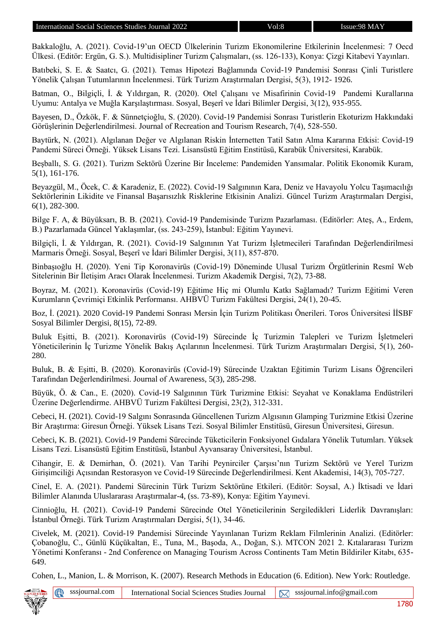Bakkaloğlu, A. (2021). Covid-19'un OECD Ülkelerinin Turizm Ekonomilerine Etkilerinin İncelenmesi: 7 Oecd Ülkesi. (Editör: Ergün, G. S.). Multidisipliner Turizm Çalışmaları, (ss. 126-133), Konya: Çizgi Kitabevi Yayınları.

Batıbeki, S. E. & Saatcı, G. (2021). Temas Hipotezi Bağlamında Covid-19 Pandemisi Sonrası Çinli Turistlere Yönelik Çalışan Tutumlarının İncelenmesi. Türk Turizm Araştırmaları Dergisi, 5(3), 1912- 1926.

Batman, O., Bilgiçli, İ. & Yıldırgan, R. (2020). Otel Çalışanı ve Misafirinin Covid-19 Pandemi Kurallarına Uyumu: Antalya ve Muğla Karşılaştırması. Sosyal, Beşerî ve İdari Bilimler Dergisi, 3(12), 935-955.

Bayesen, D., Özkök, F. & Sünnetçioğlu, S. (2020). Covid-19 Pandemisi Sonrası Turistlerin Ekoturizm Hakkındaki Görüşlerinin Değerlendirilmesi. Journal of Recreation and Tourism Research, 7(4), 528-550.

Baytürk, N. (2021). Algılanan Değer ve Algılanan Riskin İnternetten Tatil Satın Alma Kararına Etkisi: Covid-19 Pandemi Süreci Örneği. Yüksek Lisans Tezi. Lisansüstü Eğitim Enstitüsü, Karabük Üniversitesi, Karabük.

Beşballı, S. G. (2021). Turizm Sektörü Üzerine Bir İnceleme: Pandemiden Yansımalar. Politik Ekonomik Kuram, 5(1), 161-176.

Beyazgül, M., Öcek, C. & Karadeniz, E. (2022). Covid-19 Salgınının Kara, Deniz ve Havayolu Yolcu Taşımacılığı Sektörlerinin Likidite ve Finansal Başarısızlık Risklerine Etkisinin Analizi. Güncel Turizm Araştırmaları Dergisi, 6(1), 282-300.

Bilge F. A, & Büyüksarı, B. B. (2021). Covid-19 Pandemisinde Turizm Pazarlaması. (Editörler: Ateş, A., Erdem, B.) Pazarlamada Güncel Yaklaşımlar, (ss. 243-259), İstanbul: Eğitim Yayınevi.

Bilgiçli, İ. & Yıldırgan, R. (2021). Covid-19 Salgınının Yat Turizm İşletmecileri Tarafından Değerlendirilmesi Marmaris Örneği. Sosyal, Beşerî ve İdari Bilimler Dergisi, 3(11), 857-870.

Binbaşıoğlu H. (2020). Yeni Tip Koronavirüs (Covid-19) Döneminde Ulusal Turizm Örgütlerinin Resmî Web Sitelerinin Bir İletişim Aracı Olarak İncelenmesi. Turizm Akademik Dergisi, 7(2), 73-88.

Boyraz, M. (2021). Koronavirüs (Covid-19) Eğitime Hiç mi Olumlu Katkı Sağlamadı? Turizm Eğitimi Veren Kurumların Çevrimiçi Etkinlik Performansı. AHBVÜ Turizm Fakültesi Dergisi, 24(1), 20-45.

Boz, İ. (2021). 2020 Covid-19 Pandemi Sonrası Mersin İçin Turizm Politikası Önerileri. Toros Üniversitesi İİSBF Sosyal Bilimler Dergisi, 8(15), 72-89.

Buluk Eşitti, B. (2021). Koronavirüs (Covid-19) Sürecinde İç Turizmin Talepleri ve Turizm İşletmeleri Yöneticilerinin İç Turizme Yönelik Bakış Açılarının İncelenmesi. Türk Turizm Araştırmaları Dergisi, 5(1), 260- 280.

Buluk, B. & Eşitti, B. (2020). Koronavirüs (Covid-19) Sürecinde Uzaktan Eğitimin Turizm Lisans Öğrencileri Tarafından Değerlendirilmesi. Journal of Awareness, 5(3), 285-298.

Büyük, Ö. & Can., E. (2020). Covid-19 Salgınının Türk Turizmine Etkisi: Seyahat ve Konaklama Endüstrileri Üzerine Değerlendirme. AHBVÜ Turizm Fakültesi Dergisi, 23(2), 312-331.

Cebeci, H. (2021). Covid-19 Salgını Sonrasında Güncellenen Turizm Algısının Glamping Turizmine Etkisi Üzerine Bir Araştırma: Giresun Örneği. Yüksek Lisans Tezi. Sosyal Bilimler Enstitüsü, Giresun Üniversitesi, Giresun.

Cebeci, K. B. (2021). Covid-19 Pandemi Sürecinde Tüketicilerin Fonksiyonel Gıdalara Yönelik Tutumları. Yüksek Lisans Tezi. Lisansüstü Eğitim Enstitüsü, İstanbul Ayvansaray Üniversitesi, İstanbul.

Cihangir, E. & Demirhan, Ö. (2021). Van Tarihi Peynirciler Çarşısı'nın Turizm Sektörü ve Yerel Turizm Girişimciliği Açısından Restorasyon ve Covid-19 Sürecinde Değerlendirilmesi. Kent Akademisi, 14(3), 705-727.

Cinel, E. A. (2021). Pandemi Sürecinin Türk Turizm Sektörüne Etkileri. (Editör: Soysal, A.) İktisadi ve İdari Bilimler Alanında Uluslararası Araştırmalar-4, (ss. 73-89), Konya: Eğitim Yayınevi.

Cinnioğlu, H. (2021). Covid-19 Pandemi Sürecinde Otel Yöneticilerinin Sergiledikleri Liderlik Davranışları: İstanbul Örneği. Türk Turizm Araştırmaları Dergisi, 5(1), 34-46.

Civelek, M. (2021). Covid-19 Pandemisi Sürecinde Yayınlanan Turizm Reklam Filmlerinin Analizi. (Editörler: Çobanoğlu, C., Günlü Küçükaltan, E., Tuna, M., Başoda, A., Doğan, S.). MTCON 2021 2. Kıtalararası Turizm Yönetimi Konferansı - 2nd Conference on Managing Tourism Across Continents Tam Metin Bildiriler Kitabı, 635- 649.

Cohen, L., Manion, L. & Morrison, K. (2007). Research Methods in Education (6. Edition). New York: Routledge.

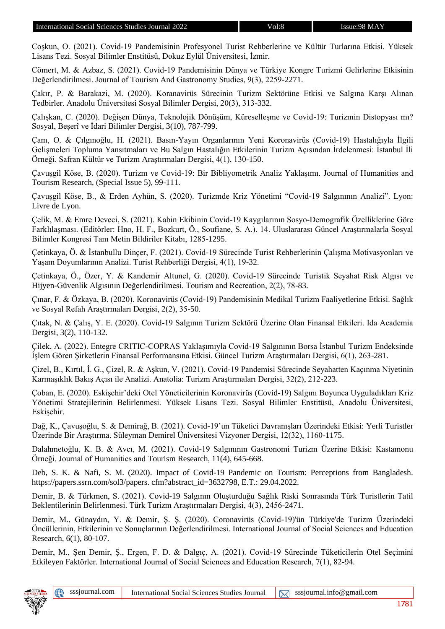Coşkun, O. (2021). Covid-19 Pandemisinin Profesyonel Turist Rehberlerine ve Kültür Turlarına Etkisi. Yüksek Lisans Tezi. Sosyal Bilimler Enstitüsü, Dokuz Eylül Üniversitesi, İzmir.

Cömert, M. & Azbaz, S. (2021). Covid-19 Pandemisinin Dünya ve Türkiye Kongre Turizmi Gelirlerine Etkisinin Değerlendirilmesi. Journal of Tourism And Gastronomy Studies, 9(3), 2259-2271.

Çakır, P. & Barakazi, M. (2020). Koranavirüs Sürecinin Turizm Sektörüne Etkisi ve Salgına Karşı Alınan Tedbirler. Anadolu Üniversitesi Sosyal Bilimler Dergisi, 20(3), 313-332.

Çalışkan, C. (2020). Değişen Dünya, Teknolojik Dönüşüm, Küreselleşme ve Covid-19: Turizmin Distopyası mı? Sosyal, Beşerî ve İdari Bilimler Dergisi, 3(10), 787-799.

Çam, O. & Çılgınoğlu, H. (2021). Basın-Yayın Organlarının Yeni Koronavirüs (Covid-19) Hastalığıyla İlgili Gelişmeleri Topluma Yansıtmaları ve Bu Salgın Hastalığın Etkilerinin Turizm Açısından İrdelenmesi: İstanbul İli Örneği. Safran Kültür ve Turizm Araştırmaları Dergisi, 4(1), 130-150.

Çavuşgil Köse, B. (2020). Turizm ve Covid-19: Bir Bibliyometrik Analiz Yaklaşımı. Journal of Humanities and Tourism Research, (Special Issue 5), 99-111.

Çavuşgil Köse, B., & Erden Ayhün, S. (2020). Turizmde Kriz Yönetimi "Covid-19 Salgınının Analizi". Lyon: Livre de Lyon.

Çelik, M. & Emre Deveci, S. (2021). Kabin Ekibinin Covid-19 Kaygılarının Sosyo-Demografik Özelliklerine Göre Farklılaşması. (Editörler: Hno, H. F., Bozkurt, Ö., Soufiane, S. A.). 14. Uluslararası Güncel Araştırmalarla Sosyal Bilimler Kongresi Tam Metin Bildiriler Kitabı, 1285-1295.

Çetinkaya, Ö. & İstanbullu Dinçer, F. (2021). Covid-19 Sürecinde Turist Rehberlerinin Çalışma Motivasyonları ve Yaşam Doyumlarının Analizi. Turist Rehberliği Dergisi, 4(1), 19-32.

Çetinkaya, Ö., Özer, Y. & Kandemir Altunel, G. (2020). Covid-19 Sürecinde Turistik Seyahat Risk Algısı ve Hijyen-Güvenlik Algısının Değerlendirilmesi. Tourism and Recreation, 2(2), 78-83.

Çınar, F. & Özkaya, B. (2020). Koronavirüs (Covid-19) Pandemisinin Medikal Turizm Faaliyetlerine Etkisi. Sağlık ve Sosyal Refah Araştırmaları Dergisi, 2(2), 35-50.

Çıtak, N. & Çalış, Y. E. (2020). Covid-19 Salgının Turizm Sektörü Üzerine Olan Finansal Etkileri. Ida Academia Dergisi, 3(2), 110-132.

Çilek, A. (2022). Entegre CRITIC-COPRAS Yaklaşımıyla Covid-19 Salgınının Borsa İstanbul Turizm Endeksinde İşlem Gören Şirketlerin Finansal Performansına Etkisi. Güncel Turizm Araştırmaları Dergisi, 6(1), 263-281.

Çizel, B., Kırtıl, İ. G., Çizel, R. & Aşkun, V. (2021). Covid-19 Pandemisi Sürecinde Seyahatten Kaçınma Niyetinin Karmaşıklık Bakış Açısı ile Analizi. Anatolia: Turizm Araştırmaları Dergisi, 32(2), 212-223.

Çoban, E. (2020). Eskişehir'deki Otel Yöneticilerinin Koronavirüs (Covid-19) Salgını Boyunca Uyguladıkları Kriz Yönetimi Stratejilerinin Belirlenmesi. Yüksek Lisans Tezi. Sosyal Bilimler Enstitüsü, Anadolu Üniversitesi, Eskişehir.

Dağ, K., Çavuşoğlu, S. & Demirağ, B. (2021). Covid-19'un Tüketici Davranışları Üzerindeki Etkisi: Yerli Turistler Üzerinde Bir Araştırma. Süleyman Demirel Üniversitesi Vizyoner Dergisi, 12(32), 1160-1175.

Dalahmetoğlu, K. B. & Avcı, M. (2021). Covid-19 Salgınının Gastronomi Turizm Üzerine Etkisi: Kastamonu Örneği. Journal of Humanities and Tourism Research, 11(4), 645-668.

Deb, S. K. & Nafi, S. M. (2020). Impact of Covid-19 Pandemic on Tourism: Perceptions from Bangladesh. https://papers.ssrn.com/sol3/papers. cfm?abstract\_id=3632798, E.T.: 29.04.2022.

Demir, B. & Türkmen, S. (2021). Covid-19 Salgının Oluşturduğu Sağlık Riski Sonrasında Türk Turistlerin Tatil Beklentilerinin Belirlenmesi. Türk Turizm Araştırmaları Dergisi, 4(3), 2456-2471.

Demir, M., Günaydın, Y. & Demir, Ş. Ş. (2020). Coronavirüs (Covid-19)'ün Türkiye'de Turizm Üzerindeki Öncüllerinin, Etkilerinin ve Sonuçlarının Değerlendirilmesi. International Journal of Social Sciences and Education Research, 6(1), 80-107.

Demir, M., Şen Demir, Ş., Ergen, F. D. & Dalgıç, A. (2021). Covid-19 Sürecinde Tüketicilerin Otel Seçimini Etkileyen Faktörler. International Journal of Social Sciences and Education Research, 7(1), 82-94.

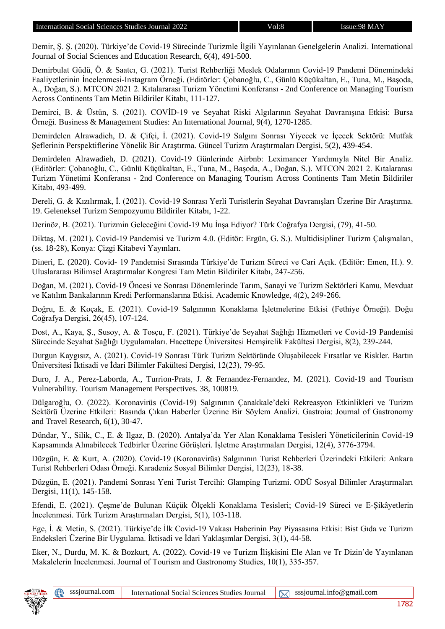Demir, Ş. Ş. (2020). Türkiye'de Covid-19 Sürecinde Turizmle İlgili Yayınlanan Genelgelerin Analizi. International Journal of Social Sciences and Education Research, 6(4), 491-500.

Demirbulat Güdü, Ö. & Saatcı, G. (2021). Turist Rehberliği Meslek Odalarının Covid-19 Pandemi Dönemindeki Faaliyetlerinin İncelenmesi-Instagram Örneği. (Editörler: Çobanoğlu, C., Günlü Küçükaltan, E., Tuna, M., Başoda, A., Doğan, S.). MTCON 2021 2. Kıtalararası Turizm Yönetimi Konferansı - 2nd Conference on Managing Tourism Across Continents Tam Metin Bildiriler Kitabı, 111-127.

Demirci, B. & Üstün, S. (2021). COVİD-19 ve Seyahat Riski Algılarının Seyahat Davranışına Etkisi: Bursa Örneği. Business & Management Studies: An International Journal, 9(4), 1270-1285.

Demirdelen Alrawadieh, D. & Çifçi, İ. (2021). Covid-19 Salgını Sonrası Yiyecek ve İçecek Sektörü: Mutfak Şeflerinin Perspektiflerine Yönelik Bir Araştırma. Güncel Turizm Araştırmaları Dergisi, 5(2), 439-454.

Demirdelen Alrawadieh, D. (2021). Covid-19 Günlerinde Airbnb: Leximancer Yardımıyla Nitel Bir Analiz. (Editörler: Çobanoğlu, C., Günlü Küçükaltan, E., Tuna, M., Başoda, A., Doğan, S.). MTCON 2021 2. Kıtalararası Turizm Yönetimi Konferansı - 2nd Conference on Managing Tourism Across Continents Tam Metin Bildiriler Kitabı, 493-499.

Dereli, G. & Kızılırmak, İ. (2021). Covid-19 Sonrası Yerli Turistlerin Seyahat Davranışları Üzerine Bir Araştırma. 19. Geleneksel Turizm Sempozyumu Bildiriler Kitabı, 1-22.

Derinöz, B. (2021). Turizmin Geleceğini Covid-19 Mu İnşa Ediyor? Türk Coğrafya Dergisi, (79), 41-50.

Diktaş, M. (2021). Covid-19 Pandemisi ve Turizm 4.0. (Editör: Ergün, G. S.). Multidisipliner Turizm Çalışmaları, (ss. 18-28), Konya: Çizgi Kitabevi Yayınları.

Dineri, E. (2020). Covid- 19 Pandemisi Sırasında Türkiye'de Turizm Süreci ve Cari Açık. (Editör: Emen, H.). 9. Uluslararası Bilimsel Araştırmalar Kongresi Tam Metin Bildiriler Kitabı, 247-256.

Doğan, M. (2021). Covid-19 Öncesi ve Sonrası Dönemlerinde Tarım, Sanayi ve Turizm Sektörleri Kamu, Mevduat ve Katılım Bankalarının Kredi Performanslarına Etkisi. Academic Knowledge, 4(2), 249-266.

Doğru, E. & Koçak, E. (2021). Covid-19 Salgınının Konaklama İşletmelerine Etkisi (Fethiye Örneği). Doğu Coğrafya Dergisi, 26(45), 107-124.

Dost, A., Kaya, Ş., Susoy, A. & Tosçu, F. (2021). Türkiye'de Seyahat Sağlığı Hizmetleri ve Covid-19 Pandemisi Sürecinde Seyahat Sağlığı Uygulamaları. Hacettepe Üniversitesi Hemşirelik Fakültesi Dergisi, 8(2), 239-244.

Durgun Kaygısız, A. (2021). Covid-19 Sonrası Türk Turizm Sektöründe Oluşabilecek Fırsatlar ve Riskler. Bartın Üniversitesi İktisadi ve İdari Bilimler Fakültesi Dergisi, 12(23), 79-95.

Duro, J. A., Perez-Laborda, A., Turrion-Prats, J. & Fernandez-Fernandez, M. (2021). Covid-19 and Tourism Vulnerability. Tourism Management Perspectives. 38, 100819.

Dülgaroğlu, O. (2022). Koronavirüs (Covid-19) Salgınının Çanakkale'deki Rekreasyon Etkinlikleri ve Turizm Sektörü Üzerine Etkileri: Basında Çıkan Haberler Üzerine Bir Söylem Analizi. Gastroia: Journal of Gastronomy and Travel Research, 6(1), 30-47.

Dündar, Y., Silik, C., E. & Ilgaz, B. (2020). Antalya'da Yer Alan Konaklama Tesisleri Yöneticilerinin Covid-19 Kapsamında Alınabilecek Tedbirler Üzerine Görüşleri. İşletme Araştırmaları Dergisi, 12(4), 3776-3794.

Düzgün, E. & Kurt, A. (2020). Covid-19 (Koronavirüs) Salgınının Turist Rehberleri Üzerindeki Etkileri: Ankara Turist Rehberleri Odası Örneği. Karadeniz Sosyal Bilimler Dergisi, 12(23), 18-38.

Düzgün, E. (2021). Pandemi Sonrası Yeni Turist Tercihi: Glamping Turizmi. ODÜ Sosyal Bilimler Araştırmaları Dergisi, 11(1), 145-158.

Efendi, E. (2021). Çeşme'de Bulunan Küçük Ölçekli Konaklama Tesisleri; Covid-19 Süreci ve E-Şikâyetlerin İncelenmesi. Türk Turizm Araştırmaları Dergisi, 5(1), 103-118.

Ege, İ. & Metin, S. (2021). Türkiye'de İlk Covid-19 Vakası Haberinin Pay Piyasasına Etkisi: Bist Gıda ve Turizm Endeksleri Üzerine Bir Uygulama. İktisadi ve İdari Yaklaşımlar Dergisi, 3(1), 44-58.

Eker, N., Durdu, M. K. & Bozkurt, A. (2022). Covid-19 ve Turizm İlişkisini Ele Alan ve Tr Dizin'de Yayınlanan Makalelerin İncelenmesi. Journal of Tourism and Gastronomy Studies, 10(1), 335-357.

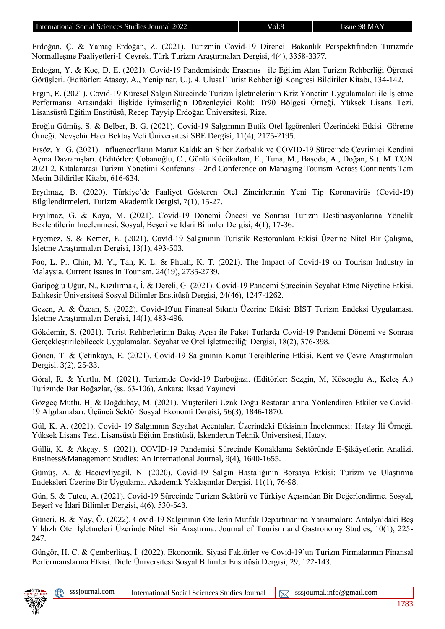Erdoğan, Ç. & Yamaç Erdoğan, Z. (2021). Turizmin Covid-19 Direnci: Bakanlık Perspektifinden Turizmde Normalleşme Faaliyetleri-I. Çeyrek. Türk Turizm Araştırmaları Dergisi, 4(4), 3358-3377.

Erdoğan, Y. & Koç, D. E. (2021). Covid-19 Pandemisinde Erasmus+ ile Eğitim Alan Turizm Rehberliği Öğrenci Görüşleri. (Editörler: Atasoy, A., Yenipınar, U.). 4. Ulusal Turist Rehberliği Kongresi Bildiriler Kitabı, 134-142.

Ergin, E. (2021). Covid-19 Küresel Salgın Sürecinde Turizm İşletmelerinin Kriz Yönetim Uygulamaları ile İşletme Performansı Arasındaki İlişkide İyimserliğin Düzenleyici Rolü: Tr90 Bölgesi Örneği. Yüksek Lisans Tezi. Lisansüstü Eğitim Enstitüsü, Recep Tayyip Erdoğan Üniversitesi, Rize.

Eroğlu Gümüş, S. & Belber, B. G. (2021). Covid-19 Salgınının Butik Otel İşgörenleri Üzerindeki Etkisi: Göreme Örneği. Nevşehir Hacı Bektaş Veli Üniversitesi SBE Dergisi, 11(4), 2175-2195.

Ersöz, Y. G. (2021). Influencer'ların Maruz Kaldıkları Siber Zorbalık ve COVID-19 Sürecinde Çevrimiçi Kendini Açma Davranışları. (Editörler: Çobanoğlu, C., Günlü Küçükaltan, E., Tuna, M., Başoda, A., Doğan, S.). MTCON 2021 2. Kıtalararası Turizm Yönetimi Konferansı - 2nd Conference on Managing Tourism Across Continents Tam Metin Bildiriler Kitabı, 616-634.

Eryılmaz, B. (2020). Türkiye'de Faaliyet Gösteren Otel Zincirlerinin Yeni Tip Koronavirüs (Covid-19) Bilgilendirmeleri. Turizm Akademik Dergisi, 7(1), 15-27.

Eryılmaz, G. & Kaya, M. (2021). Covid-19 Dönemi Öncesi ve Sonrası Turizm Destinasyonlarına Yönelik Beklentilerin İncelenmesi. Sosyal, Beşerî ve İdari Bilimler Dergisi, 4(1), 17-36.

Etyemez, S. & Kemer, E. (2021). Covid-19 Salgınının Turistik Restoranlara Etkisi Üzerine Nitel Bir Çalışma, İşletme Araştırmaları Dergisi, 13(1), 493-503.

Foo, L. P., Chin, M. Y., Tan, K. L. & Phuah, K. T. (2021). The Impact of Covid-19 on Tourism Industry in Malaysia. Current Issues in Tourism. 24(19), 2735-2739.

Garipoğlu Uğur, N., Kızılırmak, İ. & Dereli, G. (2021). Covid-19 Pandemi Sürecinin Seyahat Etme Niyetine Etkisi. Balıkesir Üniversitesi Sosyal Bilimler Enstitüsü Dergisi, 24(46), 1247-1262.

Gezen, A. & Özcan, S. (2022). Covid-19'un Finansal Sıkıntı Üzerine Etkisi: BİST Turizm Endeksi Uygulaması. İşletme Araştırmaları Dergisi, 14(1), 483-496.

Gökdemir, S. (2021). Turist Rehberlerinin Bakış Açısı ile Paket Turlarda Covid-19 Pandemi Dönemi ve Sonrası Gerçekleştirilebilecek Uygulamalar. Seyahat ve Otel İşletmeciliği Dergisi, 18(2), 376-398.

Gönen, T. & Çetinkaya, E. (2021). Covid-19 Salgınının Konut Tercihlerine Etkisi. Kent ve Çevre Araştırmaları Dergisi, 3(2), 25-33.

Göral, R. & Yurtlu, M. (2021). Turizmde Covid-19 Darboğazı. (Editörler: Sezgin, M, Köseoğlu A., Keleş A.) Turizmde Dar Boğazlar, (ss. 63-106), Ankara: İksad Yayınevi.

Gözgeç Mutlu, H. & Doğdubay, M. (2021). Müşterileri Uzak Doğu Restoranlarına Yönlendiren Etkiler ve Covid-19 Algılamaları. Üçüncü Sektör Sosyal Ekonomi Dergisi, 56(3), 1846-1870.

Gül, K. A. (2021). Covid- 19 Salgınının Seyahat Acentaları Üzerindeki Etkisinin İncelenmesi: Hatay İli Örneği. Yüksek Lisans Tezi. Lisansüstü Eğitim Enstitüsü, İskenderun Teknik Üniversitesi, Hatay.

Güllü, K. & Akçay, S. (2021). COVİD-19 Pandemisi Sürecinde Konaklama Sektöründe E-Şikâyetlerin Analizi. Business&Management Studies: An International Journal, 9(4), 1640-1655.

Gümüş, A. & Hacıevliyagil, N. (2020). Covid-19 Salgın Hastalığının Borsaya Etkisi: Turizm ve Ulaştırma Endeksleri Üzerine Bir Uygulama. Akademik Yaklaşımlar Dergisi, 11(1), 76-98.

Gün, S. & Tutcu, A. (2021). Covid-19 Sürecinde Turizm Sektörü ve Türkiye Açısından Bir Değerlendirme. Sosyal, Beşerî ve İdari Bilimler Dergisi, 4(6), 530-543.

Güneri, B. & Yay, Ö. (2022). Covid-19 Salgınının Otellerin Mutfak Departmanına Yansımaları: Antalya'daki Beş Yıldızlı Otel İşletmeleri Üzerinde Nitel Bir Araştırma. Journal of Tourism and Gastronomy Studies, 10(1), 225- 247.

Güngör, H. C. & Çemberlitaş, İ. (2022). Ekonomik, Siyasi Faktörler ve Covid-19'un Turizm Firmalarının Finansal Performanslarına Etkisi. Dicle Üniversitesi Sosyal Bilimler Enstitüsü Dergisi, 29, 122-143.

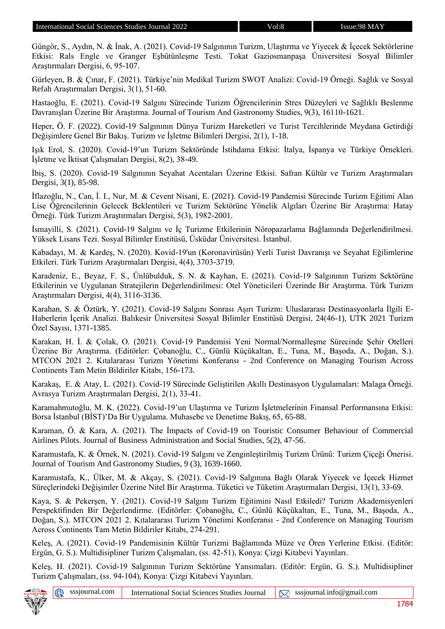Güngör, S., Aydın, N. & İnak, A. (2021). Covid-19 Salgınının Turizm, Ulaştırma ve Yiyecek & İçecek Sektörlerine Etkisi: Rals Engle ve Granger Eşbütünleşme Testi. Tokat Gaziosmanpaşa Üniversitesi Sosyal Bilimler Araştırmaları Dergisi, 6, 95-107.

Gürleyen, B. & Çınar, F. (2021). Türkiye'nin Medikal Turizm SWOT Analizi: Covid-19 Örneği. Sağlık ve Sosyal Refah Araştırmaları Dergisi, 3(1), 51-60.

Hastaoğlu, E. (2021). Covid-19 Salgını Sürecinde Turizm Öğrencilerinin Stres Düzeyleri ve Sağlıklı Beslenme Davranışları Üzerine Bir Araştırma. Journal of Tourism And Gastronomy Studies, 9(3), 16110-1621.

Heper, Ö. F. (2022). Covid-19 Salgınının Dünya Turizm Hareketleri ve Turist Tercihlerinde Meydana Getirdiği Değişimlere Genel Bir Bakış. Turizm ve İşletme Bilimleri Dergisi, 2(1), 1-18.

Işık Erol, S. (2020). Covid-19'un Turizm Sektöründe İstihdama Etkisi: İtalya, İspanya ve Türkiye Örnekleri. İşletme ve İktisat Çalışmaları Dergisi, 8(2), 38-49.

İbiş, S. (2020). Covid-19 Salgınının Seyahat Acentaları Üzerine Etkisi. Safran Kültür ve Turizm Araştırmaları Dergisi, 3(1), 85-98.

İflazoğlu, N., Can, İ. I., Nur, M. & Cevent Nisani, E. (2021). Covid-19 Pandemisi Sürecinde Turizm Eğitimi Alan Lise Öğrencilerinin Gelecek Beklentileri ve Turizm Sektörüne Yönelik Algıları Üzerine Bir Araştırma: Hatay Örneği. Türk Turizm Araştırmaları Dergisi, 5(3), 1982-2001.

İsmayilli, S. (2021). Covid-19 Salgını ve İç Turizme Etkilerinin Nöropazarlama Bağlamında Değerlendirilmesi. Yüksek Lisans Tezi. Sosyal Bilimler Enstitüsü, Üsküdar Üniversitesi. İstanbul.

Kabadayı, M. & Kardeş, N. (2020). Kovid-19'un (Koronavirüsün) Yerli Turist Davranışı ve Seyahat Eğilimlerine Etkileri. Türk Turizm Araştırmaları Dergisi, 4(4), 3703-3719.

Karadeniz, E., Beyaz, F. S., Ünlübulduk, S. N. & Kayhan, E. (2021). Covid-19 Salgınının Turizm Sektörüne Etkilerinin ve Uygulanan Stratejilerin Değerlendirilmesi: Otel Yöneticileri Üzerinde Bir Araştırma. Türk Turizm Araştırmaları Dergisi, 4(4), 3116-3136.

Karahan, S. & Öztürk, Y. (2021). Covid-19 Salgını Sonrası Aşırı Turizm: Uluslararası Destinasyonlarla İlgili E-Haberlerin İçerik Analizi. Balıkesir Üniversitesi Sosyal Bilimler Enstitüsü Dergisi, 24(46-1), UTK 2021 Turizm Özel Sayısı, 1371-1385.

Karakan, H. İ. & Çolak, O. (2021). Covid-19 Pandemisi Yeni Normal/Normalleşme Sürecinde Şehir Otelleri Üzerine Bir Araştırma. (Editörler: Çobanoğlu, C., Günlü Küçükaltan, E., Tuna, M., Başoda, A., Doğan, S.). MTCON 2021 2. Kıtalararası Turizm Yönetimi Konferansı - 2nd Conference on Managing Tourism Across Continents Tam Metin Bildiriler Kitabı, 156-173.

Karakaş, E. & Atay, L. (2021). Covid-19 Sürecinde Geliştirilen Akıllı Destinasyon Uygulamaları: Malaga Örneği. Avrasya Turizm Araştırmaları Dergisi, 2(1), 33-41.

Karamahmutoğlu, M. K. (2022). Covid-19'un Ulaştırma ve Turizm İşletmelerinin Finansal Performansına Etkisi: Borsa İstanbul (BİST)'Da Bir Uygulama. Muhasebe ve Denetime Bakış, 65, 65-88.

Karaman, Ö. & Kara, A. (2021). The İmpacts of Covid-19 on Touristic Consumer Behaviour of Commercial Airlines Pilots. Journal of Business Administration and Social Studies, 5(2), 47-56.

Karamustafa, K. & Örnek, N. (2021). Covid-19 Salgını ve Zenginleştirilmiş Turizm Ürünü: Turizm Çiçeği Önerisi. Journal of Tourism And Gastronomy Studies, 9 (3), 1639-1660.

Karamustafa, K., Ülker, M. & Akçay, S. (2021). Covid-19 Salgınına Bağlı Olarak Yiyecek ve İçecek Hizmet Süreçlerindeki Değişimler Üzerine Nitel Bir Araştırma. Tüketici ve Tüketim Araştırmaları Dergisi, 13(1), 33-69.

Kaya, S. & Pekerşen, Y. (2021). Covid-19 Salgını Turizm Eğitimini Nasıl Etkiledi? Turizm Akademisyenleri Perspektifinden Bir Değerlendirme. (Editörler: Çobanoğlu, C., Günlü Küçükaltan, E., Tuna, M., Başoda, A., Doğan, S.). MTCON 2021 2. Kıtalararası Turizm Yönetimi Konferansı - 2nd Conference on Managing Tourism Across Continents Tam Metin Bildiriler Kitabı, 274-291.

Keleş, A. (2021). Covid-19 Pandemisinin Kültür Turizmi Bağlamında Müze ve Ören Yerlerine Etkisi. (Editör: Ergün, G. S.). Multidisipliner Turizm Çalışmaları, (ss. 42-51), Konya: Çizgi Kitabevi Yayınları.

Keleş, H. (2021). Covid-19 Salgınının Turizm Sektörüne Yansımaları. (Editör: Ergün, G. S.). Multidisipliner Turizm Çalışmaları, (ss. 94-104), Konya: Çizgi Kitabevi Yayınları.

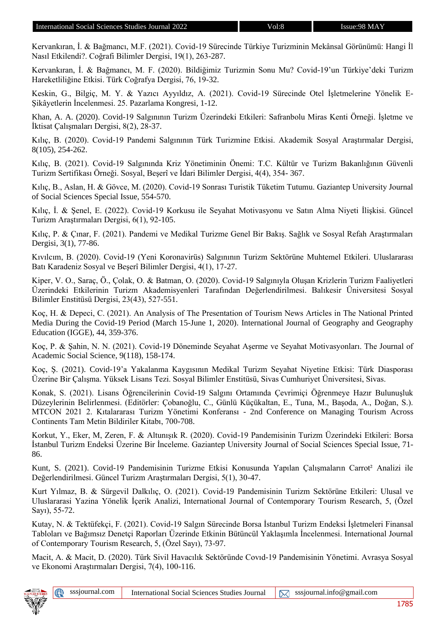Kervankıran, İ. & Bağmancı, M.F. (2021). Covid-19 Sürecinde Türkiye Turizminin Mekânsal Görünümü: Hangi İl Nasıl Etkilendi?. Coğrafi Bilimler Dergisi, 19(1), 263-287.

Kervankıran, İ. & Bağmancı, M. F. (2020). Bildiğimiz Turizmin Sonu Mu? Covid-19'un Türkiye'deki Turizm Hareketliliğine Etkisi. Türk Coğrafya Dergisi, 76, 19-32.

Keskin, G., Bilgiç, M. Y. & Yazıcı Ayyıldız, A. (2021). Covid-19 Sürecinde Otel İşletmelerine Yönelik E-Şikâyetlerin İncelenmesi. 25. Pazarlama Kongresi, 1-12.

Khan, A. A. (2020). Covid-19 Salgınının Turizm Üzerindeki Etkileri: Safranbolu Miras Kenti Örneği. İşletme ve İktisat Çalışmaları Dergisi, 8(2), 28-37.

Kılıç, B. (2020). Covid-19 Pandemi Salgınının Türk Turizmine Etkisi. Akademik Sosyal Araştırmalar Dergisi, 8(105), 254-262.

Kılıç, B. (2021). Covid-19 Salgınında Kriz Yönetiminin Önemi: T.C. Kültür ve Turizm Bakanlığının Güvenli Turizm Sertifikası Örneği. Sosyal, Beşerî ve İdari Bilimler Dergisi, 4(4), 354- 367.

Kılıç, B., Aslan, H. & Gövce, M. (2020). Covid-19 Sonrası Turistik Tüketim Tutumu. Gaziantep University Journal of Social Sciences Special Issue, 554-570.

Kılıç, İ. & Şenel, E. (2022). Covid-19 Korkusu ile Seyahat Motivasyonu ve Satın Alma Niyeti İlişkisi. Güncel Turizm Araştırmaları Dergisi, 6(1), 92-105.

Kılıç, P. & Çınar, F. (2021). Pandemi ve Medikal Turizme Genel Bir Bakış. Sağlık ve Sosyal Refah Araştırmaları Dergisi, 3(1), 77-86.

Kıvılcım, B. (2020). Covid-19 (Yeni Koronavirüs) Salgınının Turizm Sektörüne Muhtemel Etkileri. Uluslararası Batı Karadeniz Sosyal ve Beşerî Bilimler Dergisi, 4(1), 17-27.

Kiper, V. O., Saraç, Ö., Çolak, O. & Batman, O. (2020). Covid-19 Salgınıyla Oluşan Krizlerin Turizm Faaliyetleri Üzerindeki Etkilerinin Turizm Akademisyenleri Tarafından Değerlendirilmesi. Balıkesir Üniversitesi Sosyal Bilimler Enstitüsü Dergisi, 23(43), 527-551.

Koç, H. & Depeci, C. (2021). An Analysis of The Presentation of Tourism News Articles in The National Printed Media During the Covid-19 Period (March 15-June 1, 2020). International Journal of Geography and Geography Education (IGGE), 44, 359-376.

Koç, P. & Şahin, N. N. (2021). Covid-19 Döneminde Seyahat Aşerme ve Seyahat Motivasyonları. The Journal of Academic Social Science, 9(118), 158-174.

Koç, Ş. (2021). Covid-19'a Yakalanma Kaygısının Medikal Turizm Seyahat Niyetine Etkisi: Türk Diasporası Üzerine Bir Çalışma. Yüksek Lisans Tezi. Sosyal Bilimler Enstitüsü, Sivas Cumhuriyet Üniversitesi, Sivas.

Konak, S. (2021). Lisans Öğrencilerinin Covid-19 Salgını Ortamında Çevrimiçi Öğrenmeye Hazır Bulunuşluk Düzeylerinin Belirlenmesi. (Editörler: Çobanoğlu, C., Günlü Küçükaltan, E., Tuna, M., Başoda, A., Doğan, S.). MTCON 2021 2. Kıtalararası Turizm Yönetimi Konferansı - 2nd Conference on Managing Tourism Across Continents Tam Metin Bildiriler Kitabı, 700-708.

Korkut, Y., Eker, M, Zeren, F. & Altunışık R. (2020). Covid-19 Pandemisinin Turizm Üzerindeki Etkileri: Borsa İstanbul Turizm Endeksi Üzerine Bir İnceleme. Gaziantep University Journal of Social Sciences Special Issue, 71- 86.

Kunt, S. (2021). Covid-19 Pandemisinin Turizme Etkisi Konusunda Yapılan Çalışmaların Carrot² Analizi ile Değerlendirilmesi. Güncel Turizm Araştırmaları Dergisi, 5(1), 30-47.

Kurt Yılmaz, B. & Sürgevil Dalkılıç, O. (2021). Covid-19 Pandemisinin Turizm Sektörüne Etkileri: Ulusal ve Uluslararasi Yazina Yönelik İçerik Analizi, International Journal of Contemporary Tourism Research, 5, (Özel Sayı), 55-72.

Kutay, N. & Tektüfekçi, F. (2021). Covid-19 Salgın Sürecinde Borsa İstanbul Turizm Endeksi İşletmeleri Finansal Tabloları ve Bağımsız Denetçi Raporları Üzerinde Etkinin Bütüncül Yaklaşımla İncelenmesi. International Journal of Contemporary Tourism Research, 5, (Özel Sayı), 73-97.

Macit, A. & Macit, D. (2020). Türk Sivil Havacılık Sektöründe Covıd-19 Pandemisinin Yönetimi. Avrasya Sosyal ve Ekonomi Araştırmaları Dergisi, 7(4), 100-116.

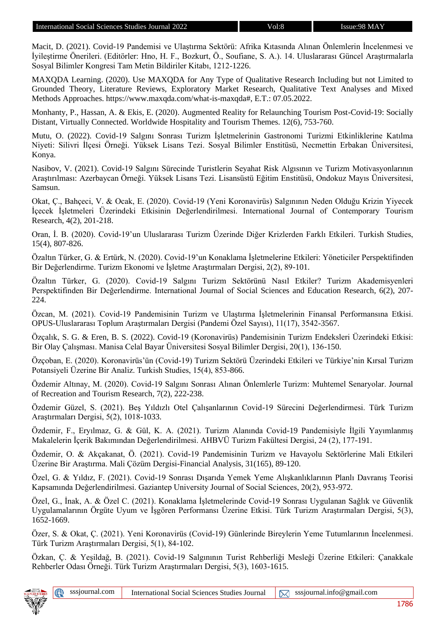Macit, D. (2021). Covid-19 Pandemisi ve Ulaştırma Sektörü: Afrika Kıtasında Alınan Önlemlerin İncelenmesi ve İyileştirme Önerileri. (Editörler: Hno, H. F., Bozkurt, Ö., Soufiane, S. A.). 14. Uluslararası Güncel Araştırmalarla Sosyal Bilimler Kongresi Tam Metin Bildiriler Kitabı, 1212-1226.

MAXQDA Learning. (2020). Use MAXQDA for Any Type of Qualitative Research Including but not Limited to Grounded Theory, Literature Reviews, Exploratory Market Research, Qualitative Text Analyses and Mixed Methods Approaches. https://www.maxqda.com/what-is-maxqda#, E.T.: 07.05.2022.

Monhanty, P., Hassan, A. & Ekis, E. (2020). Augmented Reality for Relaunching Tourism Post-Covid-19: Socially Distant, Virtually Connected. Worldwide Hospitality and Tourism Themes. 12(6), 753-760.

Mutu, O. (2022). Covid-19 Salgını Sonrası Turizm İşletmelerinin Gastronomi Turizmi Etkinliklerine Katılma Niyeti: Silivri İlçesi Örneği. Yüksek Lisans Tezi. Sosyal Bilimler Enstitüsü, Necmettin Erbakan Üniversitesi, Konya.

Nasibov, V. (2021). Covid-19 Salgını Sürecinde Turistlerin Seyahat Risk Algısının ve Turizm Motivasyonlarının Araştırılması: Azerbaycan Örneği. Yüksek Lisans Tezi. Lisansüstü Eğitim Enstitüsü, Ondokuz Mayıs Üniversitesi, Samsun.

Okat, Ç., Bahçeci, V. & Ocak, E. (2020). Covid-19 (Yeni Koronavirüs) Salgınının Neden Olduğu Krizin Yiyecek İçecek İşletmeleri Üzerindeki Etkisinin Değerlendirilmesi. International Journal of Contemporary Tourism Research, 4(2), 201-218.

Oran, İ. B. (2020). Covid-19'un Uluslararası Turizm Üzerinde Diğer Krizlerden Farklı Etkileri. Turkish Studies, 15(4), 807-826.

Özaltın Türker, G. & Ertürk, N. (2020). Covid-19'un Konaklama İşletmelerine Etkileri: Yöneticiler Perspektifinden Bir Değerlendirme. Turizm Ekonomi ve İşletme Araştırmaları Dergisi, 2(2), 89-101.

Özaltın Türker, G. (2020). Covid-19 Salgını Turizm Sektörünü Nasıl Etkiler? Turizm Akademisyenleri Perspektifinden Bir Değerlendirme. International Journal of Social Sciences and Education Research, 6(2), 207- 224.

Özcan, M. (2021). Covid-19 Pandemisinin Turizm ve Ulaştırma İşletmelerinin Finansal Performansına Etkisi. OPUS-Uluslararası Toplum Araştırmaları Dergisi (Pandemi Özel Sayısı), 11(17), 3542-3567.

Özçalık, S. G. & Eren, B. S. (2022). Covid-19 (Koronavirüs) Pandemisinin Turizm Endeksleri Üzerindeki Etkisi: Bir Olay Çalışması. Manisa Celal Bayar Üniversitesi Sosyal Bilimler Dergisi, 20(1), 136-150.

Özçoban, E. (2020). Koronavirüs'ün (Covid-19) Turizm Sektörü Üzerindeki Etkileri ve Türkiye'nin Kırsal Turizm Potansiyeli Üzerine Bir Analiz. Turkish Studies, 15(4), 853-866.

Özdemir Altınay, M. (2020). Covid-19 Salgını Sonrası Alınan Önlemlerle Turizm: Muhtemel Senaryolar. Journal of Recreation and Tourism Research, 7(2), 222-238.

Özdemir Güzel, S. (2021). Beş Yıldızlı Otel Çalışanlarının Covid-19 Sürecini Değerlendirmesi. Türk Turizm Araştırmaları Dergisi, 5(2), 1018-1033.

Özdemir, F., Eryılmaz, G. & Gül, K. A. (2021). Turizm Alanında Covid-19 Pandemisiyle İlgili Yayımlanmış Makalelerin İçerik Bakımından Değerlendirilmesi. AHBVÜ Turizm Fakültesi Dergisi, 24 (2), 177-191.

Özdemir, O. & Akçakanat, Ö. (2021). Covid-19 Pandemisinin Turizm ve Havayolu Sektörlerine Mali Etkileri Üzerine Bir Araştırma. Mali Çözüm Dergisi-Financial Analysis, 31(165), 89-120.

Özel, G. & Yıldız, F. (2021). Covid-19 Sonrası Dışarıda Yemek Yeme Alışkanlıklarının Planlı Davranış Teorisi Kapsamında Değerlendirilmesi. Gaziantep University Journal of Social Sciences, 20(2), 953-972.

Özel, G., İnak, A. & Özel C. (2021). Konaklama İşletmelerinde Covid-19 Sonrası Uygulanan Sağlık ve Güvenlik Uygulamalarının Örgüte Uyum ve İşgören Performansı Üzerine Etkisi. Türk Turizm Araştırmaları Dergisi, 5(3), 1652-1669.

Özer, S. & Okat, Ç. (2021). Yeni Koronavirüs (Covid-19) Günlerinde Bireylerin Yeme Tutumlarının İncelenmesi. Türk Turizm Araştırmaları Dergisi, 5(1), 84-102.

Özkan, Ç. & Yeşildağ, B. (2021). Covid-19 Salgınının Turist Rehberliği Mesleği Üzerine Etkileri: Çanakkale Rehberler Odası Örneği. Türk Turizm Araştırmaları Dergisi, 5(3), 1603-1615.

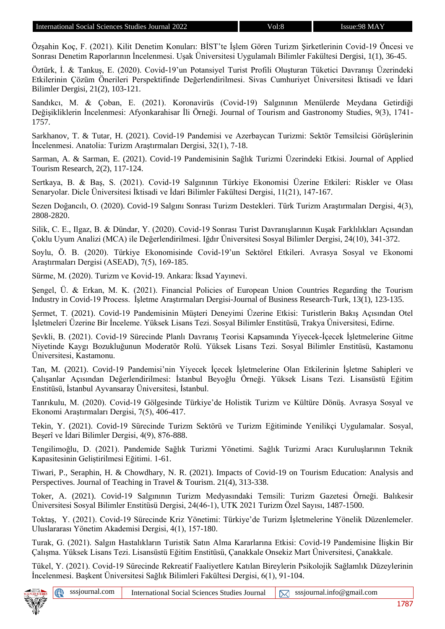Özşahin Koç, F. (2021). Kilit Denetim Konuları: BİST'te İşlem Gören Turizm Şirketlerinin Covid-19 Öncesi ve Sonrası Denetim Raporlarının İncelenmesi. Uşak Üniversitesi Uygulamalı Bilimler Fakültesi Dergisi, 1(1), 36-45.

Öztürk, İ. & Tankuş, E. (2020). Covid-19'un Potansiyel Turist Profili Oluşturan Tüketici Davranışı Üzerindeki Etkilerinin Çözüm Önerileri Perspektifinde Değerlendirilmesi. Sivas Cumhuriyet Üniversitesi İktisadi ve İdari Bilimler Dergisi, 21(2), 103-121.

Sandıkcı, M. & Çoban, E. (2021). Koronavirüs (Covid-19) Salgınının Menülerde Meydana Getirdiği Değişikliklerin İncelenmesi: Afyonkarahisar İli Örneği. Journal of Tourism and Gastronomy Studies, 9(3), 1741- 1757.

Sarkhanov, T. & Tutar, H. (2021). Covid-19 Pandemisi ve Azerbaycan Turizmi: Sektör Temsilcisi Görüşlerinin İncelenmesi. Anatolia: Turizm Araştırmaları Dergisi, 32(1), 7-18.

Sarman, A. & Sarman, E. (2021). Covid-19 Pandemisinin Sağlık Turizmi Üzerindeki Etkisi. Journal of Applied Tourism Research, 2(2), 117-124.

Sertkaya, B. & Baş, S. (2021). Covid-19 Salgınının Türkiye Ekonomisi Üzerine Etkileri: Riskler ve Olası Senaryolar. Dicle Üniversitesi İktisadi ve İdari Bilimler Fakültesi Dergisi, 11(21), 147-167.

Sezen Doğancılı, O. (2020). Covid-19 Salgını Sonrası Turizm Destekleri. Türk Turizm Araştırmaları Dergisi, 4(3), 2808-2820.

Silik, C. E., Ilgaz, B. & Dündar, Y. (2020). Covid-19 Sonrası Turist Davranışlarının Kuşak Farklılıkları Açısından Çoklu Uyum Analizi (MCA) ile Değerlendirilmesi. Iğdır Üniversitesi Sosyal Bilimler Dergisi, 24(10), 341-372.

Soylu, Ö. B. (2020). Türkiye Ekonomisinde Covid-19'un Sektörel Etkileri. Avrasya Sosyal ve Ekonomi Araştırmaları Dergisi (ASEAD), 7(5), 169-185.

Sürme, M. (2020). Turizm ve Kovid-19. Ankara: İksad Yayınevi.

Şengel, Ü. & Erkan, M. K. (2021). Financial Policies of European Union Countries Regarding the Tourism Industry in Covid-19 Process. İşletme Araştırmaları Dergisi-Journal of Business Research-Turk, 13(1), 123-135.

Şermet, T. (2021). Covid-19 Pandemisinin Müşteri Deneyimi Üzerine Etkisi: Turistlerin Bakış Açısından Otel İşletmeleri Üzerine Bir İnceleme. Yüksek Lisans Tezi. Sosyal Bilimler Enstitüsü, Trakya Üniversitesi, Edirne.

Şevkli, B. (2021). Covid-19 Sürecinde Planlı Davranış Teorisi Kapsamında Yiyecek-İçecek İşletmelerine Gitme Niyetinde Kaygı Bozukluğunun Moderatör Rolü. Yüksek Lisans Tezi. Sosyal Bilimler Enstitüsü, Kastamonu Üniversitesi, Kastamonu.

Tan, M. (2021). Covid-19 Pandemisi'nin Yiyecek İçecek İşletmelerine Olan Etkilerinin İşletme Sahipleri ve Çalışanlar Açısından Değerlendirilmesi: İstanbul Beyoğlu Örneği. Yüksek Lisans Tezi. Lisansüstü Eğitim Enstitüsü, İstanbul Ayvansaray Üniversitesi, İstanbul.

Tanrıkulu, M. (2020). Covid-19 Gölgesinde Türkiye'de Holistik Turizm ve Kültüre Dönüş. Avrasya Sosyal ve Ekonomi Araştırmaları Dergisi, 7(5), 406-417.

Tekin, Y. (2021). Covid-19 Sürecinde Turizm Sektörü ve Turizm Eğitiminde Yenilikçi Uygulamalar. Sosyal, Beşerî ve İdari Bilimler Dergisi, 4(9), 876-888.

Tengilimoğlu, D. (2021). Pandemide Sağlık Turizmi Yönetimi. Sağlık Turizmi Aracı Kuruluşlarının Teknik Kapasitesinin Geliştirilmesi Eğitimi. 1-61.

Tiwari, P., Seraphin, H. & Chowdhary, N. R. (2021). Impacts of Covid-19 on Tourism Education: Analysis and Perspectives. Journal of Teaching in Travel & Tourism. 21(4), 313-338.

Toker, A. (2021). Covid-19 Salgınının Turizm Medyasındaki Temsili: Turizm Gazetesi Örneği. Balıkesir Üniversitesi Sosyal Bilimler Enstitüsü Dergisi, 24(46-1), UTK 2021 Turizm Özel Sayısı, 1487-1500.

Toktaş, Y. (2021). Covid-19 Sürecinde Kriz Yönetimi: Türkiye'de Turizm İşletmelerine Yönelik Düzenlemeler. Uluslararası Yönetim Akademisi Dergisi, 4(1), 157-180.

Turak, G. (2021). Salgın Hastalıkların Turistik Satın Alma Kararlarına Etkisi: Covid-19 Pandemisine İlişkin Bir Çalışma. Yüksek Lisans Tezi. Lisansüstü Eğitim Enstitüsü, Çanakkale Onsekiz Mart Üniversitesi, Çanakkale.

Tükel, Y. (2021). Covid-19 Sürecinde Rekreatif Faaliyetlere Katılan Bireylerin Psikolojik Sağlamlık Düzeylerinin İncelenmesi. Başkent Üniversitesi Sağlık Bilimleri Fakültesi Dergisi, 6(1), 91-104.